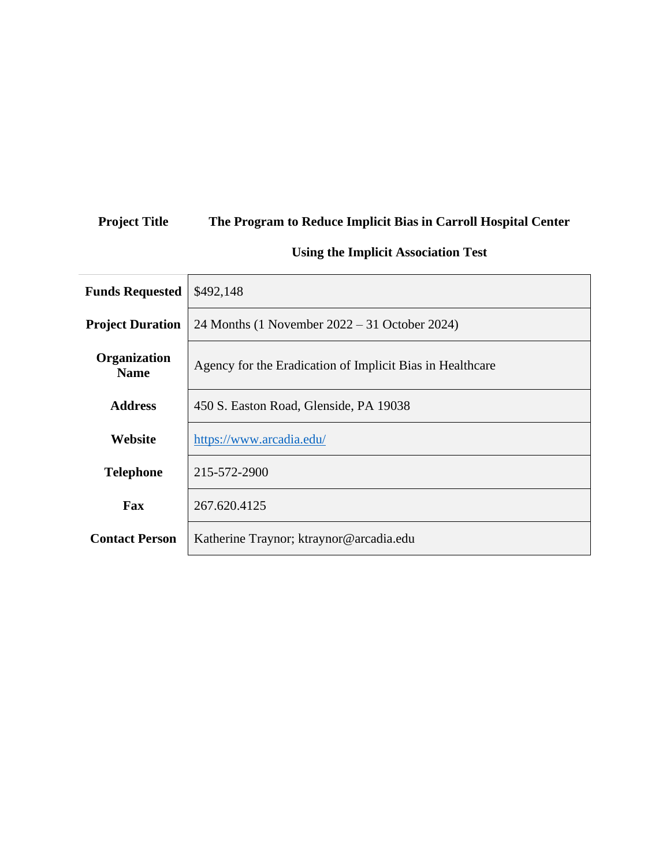# **Project Title The Program to Reduce Implicit Bias in Carroll Hospital Center**

| <b>Funds Requested</b>      | \$492,148                                                 |
|-----------------------------|-----------------------------------------------------------|
| <b>Project Duration</b>     | 24 Months (1 November $2022 - 31$ October 2024)           |
| Organization<br><b>Name</b> | Agency for the Eradication of Implicit Bias in Healthcare |
| <b>Address</b>              | 450 S. Easton Road, Glenside, PA 19038                    |
| Website                     | https://www.arcadia.edu/                                  |
| <b>Telephone</b>            | 215-572-2900                                              |
| Fax                         | 267.620.4125                                              |
| <b>Contact Person</b>       | Katherine Traynor; ktraynor@arcadia.edu                   |

# **Using the Implicit Association Test**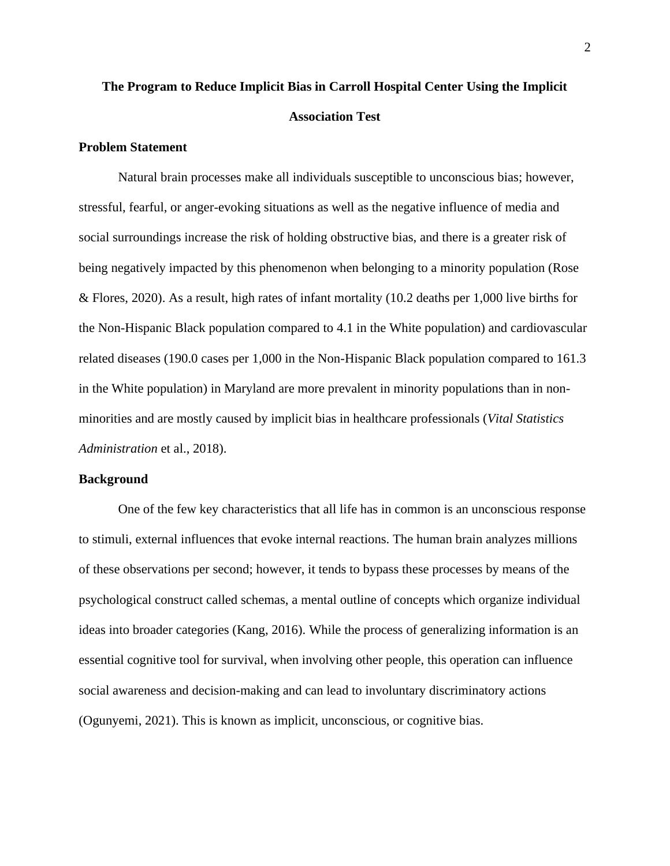# **The Program to Reduce Implicit Bias in Carroll Hospital Center Using the Implicit Association Test**

### **Problem Statement**

Natural brain processes make all individuals susceptible to unconscious bias; however, stressful, fearful, or anger-evoking situations as well as the negative influence of media and social surroundings increase the risk of holding obstructive bias, and there is a greater risk of being negatively impacted by this phenomenon when belonging to a minority population (Rose & Flores, 2020). As a result, high rates of infant mortality (10.2 deaths per 1,000 live births for the Non-Hispanic Black population compared to 4.1 in the White population) and cardiovascular related diseases (190.0 cases per 1,000 in the Non-Hispanic Black population compared to 161.3 in the White population) in Maryland are more prevalent in minority populations than in nonminorities and are mostly caused by implicit bias in healthcare professionals (*Vital Statistics Administration* et al., 2018).

#### **Background**

One of the few key characteristics that all life has in common is an unconscious response to stimuli, external influences that evoke internal reactions. The human brain analyzes millions of these observations per second; however, it tends to bypass these processes by means of the psychological construct called schemas, a mental outline of concepts which organize individual ideas into broader categories (Kang, 2016). While the process of generalizing information is an essential cognitive tool for survival, when involving other people, this operation can influence social awareness and decision-making and can lead to involuntary discriminatory actions (Ogunyemi, 2021). This is known as implicit, unconscious, or cognitive bias.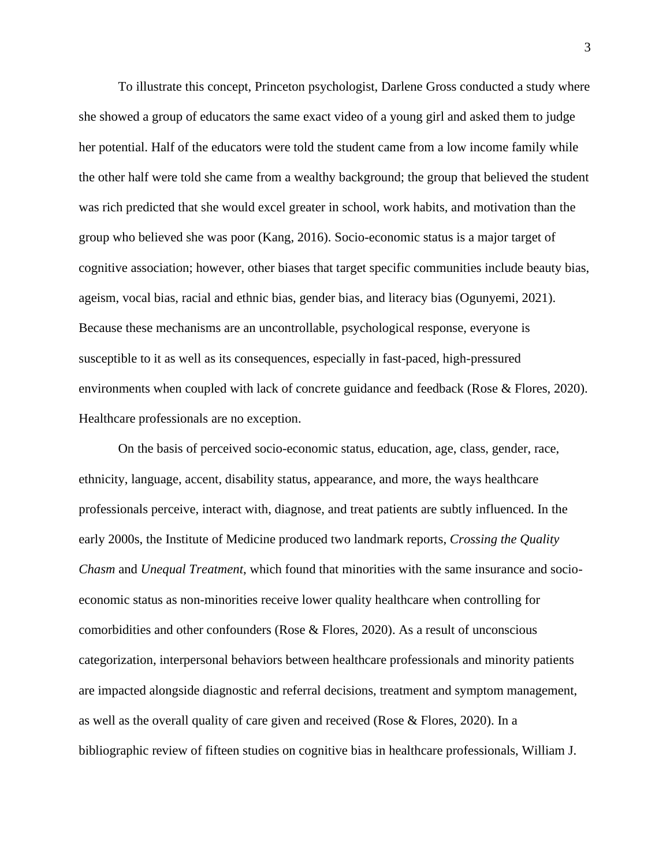To illustrate this concept, Princeton psychologist, Darlene Gross conducted a study where she showed a group of educators the same exact video of a young girl and asked them to judge her potential. Half of the educators were told the student came from a low income family while the other half were told she came from a wealthy background; the group that believed the student was rich predicted that she would excel greater in school, work habits, and motivation than the group who believed she was poor (Kang, 2016). Socio-economic status is a major target of cognitive association; however, other biases that target specific communities include beauty bias, ageism, vocal bias, racial and ethnic bias, gender bias, and literacy bias (Ogunyemi, 2021). Because these mechanisms are an uncontrollable, psychological response, everyone is susceptible to it as well as its consequences, especially in fast-paced, high-pressured environments when coupled with lack of concrete guidance and feedback (Rose & Flores, 2020). Healthcare professionals are no exception.

On the basis of perceived socio-economic status, education, age, class, gender, race, ethnicity, language, accent, disability status, appearance, and more, the ways healthcare professionals perceive, interact with, diagnose, and treat patients are subtly influenced. In the early 2000s, the Institute of Medicine produced two landmark reports, *Crossing the Quality Chasm* and *Unequal Treatment*, which found that minorities with the same insurance and socioeconomic status as non-minorities receive lower quality healthcare when controlling for comorbidities and other confounders (Rose & Flores, 2020). As a result of unconscious categorization, interpersonal behaviors between healthcare professionals and minority patients are impacted alongside diagnostic and referral decisions, treatment and symptom management, as well as the overall quality of care given and received (Rose & Flores, 2020). In a bibliographic review of fifteen studies on cognitive bias in healthcare professionals, William J.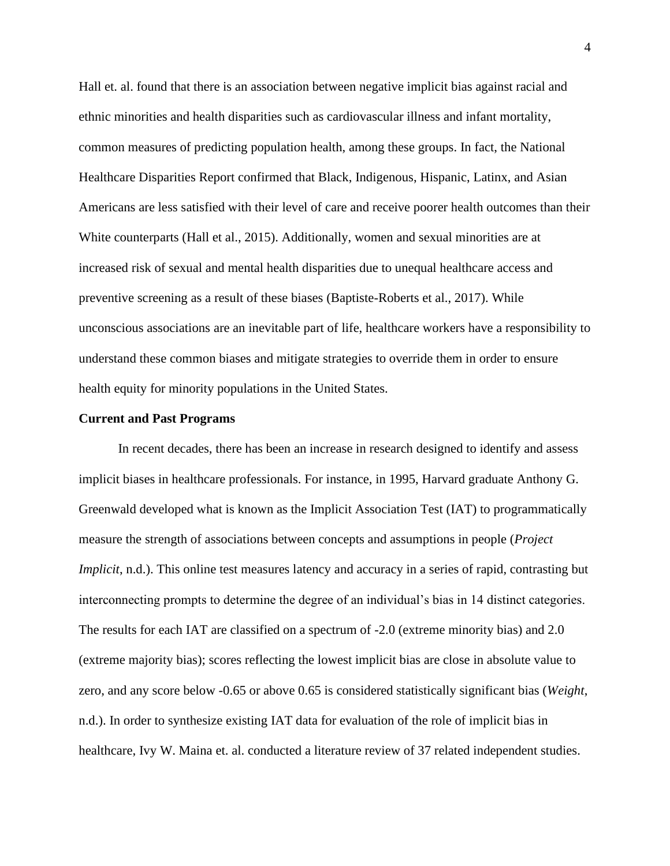Hall et. al. found that there is an association between negative implicit bias against racial and ethnic minorities and health disparities such as cardiovascular illness and infant mortality, common measures of predicting population health, among these groups. In fact, the National Healthcare Disparities Report confirmed that Black, Indigenous, Hispanic, Latinx, and Asian Americans are less satisfied with their level of care and receive poorer health outcomes than their White counterparts (Hall et al., 2015). Additionally, women and sexual minorities are at increased risk of sexual and mental health disparities due to unequal healthcare access and preventive screening as a result of these biases (Baptiste-Roberts et al., 2017). While unconscious associations are an inevitable part of life, healthcare workers have a responsibility to understand these common biases and mitigate strategies to override them in order to ensure health equity for minority populations in the United States.

#### **Current and Past Programs**

In recent decades, there has been an increase in research designed to identify and assess implicit biases in healthcare professionals. For instance, in 1995, Harvard graduate Anthony G. Greenwald developed what is known as the Implicit Association Test (IAT) to programmatically measure the strength of associations between concepts and assumptions in people (*Project Implicit*, n.d.). This online test measures latency and accuracy in a series of rapid, contrasting but interconnecting prompts to determine the degree of an individual's bias in 14 distinct categories. The results for each IAT are classified on a spectrum of -2.0 (extreme minority bias) and 2.0 (extreme majority bias); scores reflecting the lowest implicit bias are close in absolute value to zero, and any score below -0.65 or above 0.65 is considered statistically significant bias (*Weight*, n.d.). In order to synthesize existing IAT data for evaluation of the role of implicit bias in healthcare, Ivy W. Maina et. al. conducted a literature review of 37 related independent studies.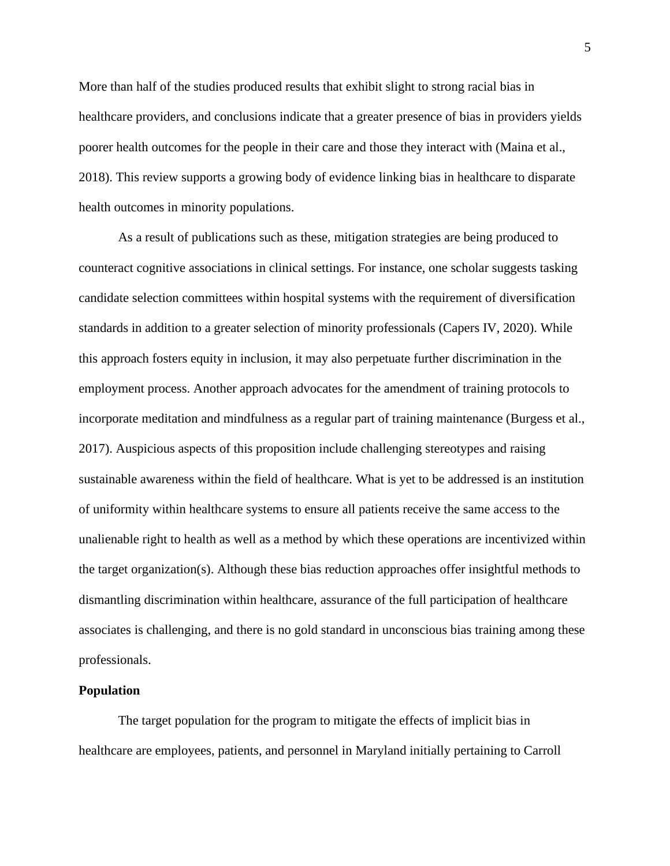More than half of the studies produced results that exhibit slight to strong racial bias in healthcare providers, and conclusions indicate that a greater presence of bias in providers yields poorer health outcomes for the people in their care and those they interact with (Maina et al., 2018). This review supports a growing body of evidence linking bias in healthcare to disparate health outcomes in minority populations.

As a result of publications such as these, mitigation strategies are being produced to counteract cognitive associations in clinical settings. For instance, one scholar suggests tasking candidate selection committees within hospital systems with the requirement of diversification standards in addition to a greater selection of minority professionals (Capers IV, 2020). While this approach fosters equity in inclusion, it may also perpetuate further discrimination in the employment process. Another approach advocates for the amendment of training protocols to incorporate meditation and mindfulness as a regular part of training maintenance (Burgess et al., 2017). Auspicious aspects of this proposition include challenging stereotypes and raising sustainable awareness within the field of healthcare. What is yet to be addressed is an institution of uniformity within healthcare systems to ensure all patients receive the same access to the unalienable right to health as well as a method by which these operations are incentivized within the target organization(s). Although these bias reduction approaches offer insightful methods to dismantling discrimination within healthcare, assurance of the full participation of healthcare associates is challenging, and there is no gold standard in unconscious bias training among these professionals.

#### **Population**

The target population for the program to mitigate the effects of implicit bias in healthcare are employees, patients, and personnel in Maryland initially pertaining to Carroll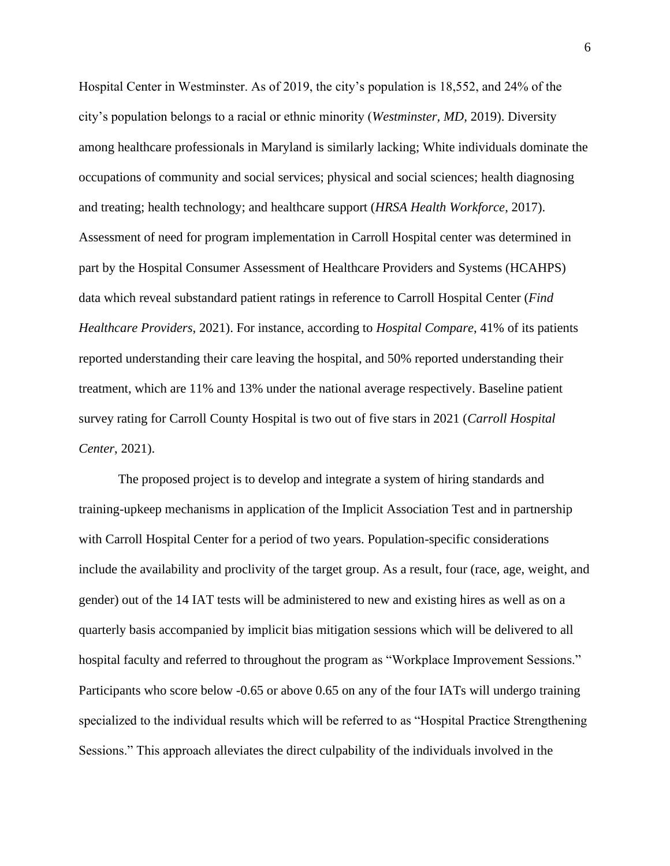Hospital Center in Westminster. As of 2019, the city's population is 18,552, and 24% of the city's population belongs to a racial or ethnic minority (*Westminster, MD,* 2019). Diversity among healthcare professionals in Maryland is similarly lacking; White individuals dominate the occupations of community and social services; physical and social sciences; health diagnosing and treating; health technology; and healthcare support (*HRSA Health Workforce*, 2017). Assessment of need for program implementation in Carroll Hospital center was determined in part by the Hospital Consumer Assessment of Healthcare Providers and Systems (HCAHPS) data which reveal substandard patient ratings in reference to Carroll Hospital Center (*Find Healthcare Providers*, 2021). For instance, according to *Hospital Compare*, 41% of its patients reported understanding their care leaving the hospital, and 50% reported understanding their treatment, which are 11% and 13% under the national average respectively. Baseline patient survey rating for Carroll County Hospital is two out of five stars in 2021 (*Carroll Hospital Center*, 2021).

 The proposed project is to develop and integrate a system of hiring standards and training-upkeep mechanisms in application of the Implicit Association Test and in partnership with Carroll Hospital Center for a period of two years. Population-specific considerations include the availability and proclivity of the target group. As a result, four (race, age, weight, and gender) out of the 14 IAT tests will be administered to new and existing hires as well as on a quarterly basis accompanied by implicit bias mitigation sessions which will be delivered to all hospital faculty and referred to throughout the program as "Workplace Improvement Sessions." Participants who score below -0.65 or above 0.65 on any of the four IATs will undergo training specialized to the individual results which will be referred to as "Hospital Practice Strengthening Sessions." This approach alleviates the direct culpability of the individuals involved in the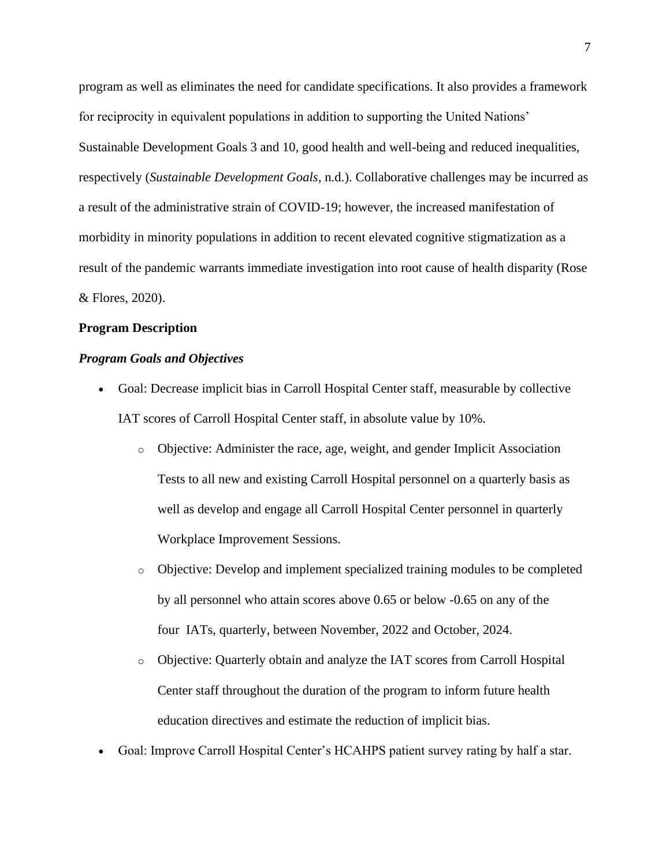program as well as eliminates the need for candidate specifications. It also provides a framework for reciprocity in equivalent populations in addition to supporting the United Nations' Sustainable Development Goals 3 and 10, good health and well-being and reduced inequalities, respectively (*Sustainable Development Goals*, n.d.). Collaborative challenges may be incurred as a result of the administrative strain of COVID-19; however, the increased manifestation of morbidity in minority populations in addition to recent elevated cognitive stigmatization as a result of the pandemic warrants immediate investigation into root cause of health disparity (Rose & Flores, 2020).

## **Program Description**

## *Program Goals and Objectives*

- Goal: Decrease implicit bias in Carroll Hospital Center staff, measurable by collective IAT scores of Carroll Hospital Center staff, in absolute value by 10%.
	- o Objective: Administer the race, age, weight, and gender Implicit Association Tests to all new and existing Carroll Hospital personnel on a quarterly basis as well as develop and engage all Carroll Hospital Center personnel in quarterly Workplace Improvement Sessions.
	- o Objective: Develop and implement specialized training modules to be completed by all personnel who attain scores above 0.65 or below -0.65 on any of the four IATs, quarterly, between November, 2022 and October, 2024.
	- o Objective: Quarterly obtain and analyze the IAT scores from Carroll Hospital Center staff throughout the duration of the program to inform future health education directives and estimate the reduction of implicit bias.
- Goal: Improve Carroll Hospital Center's HCAHPS patient survey rating by half a star.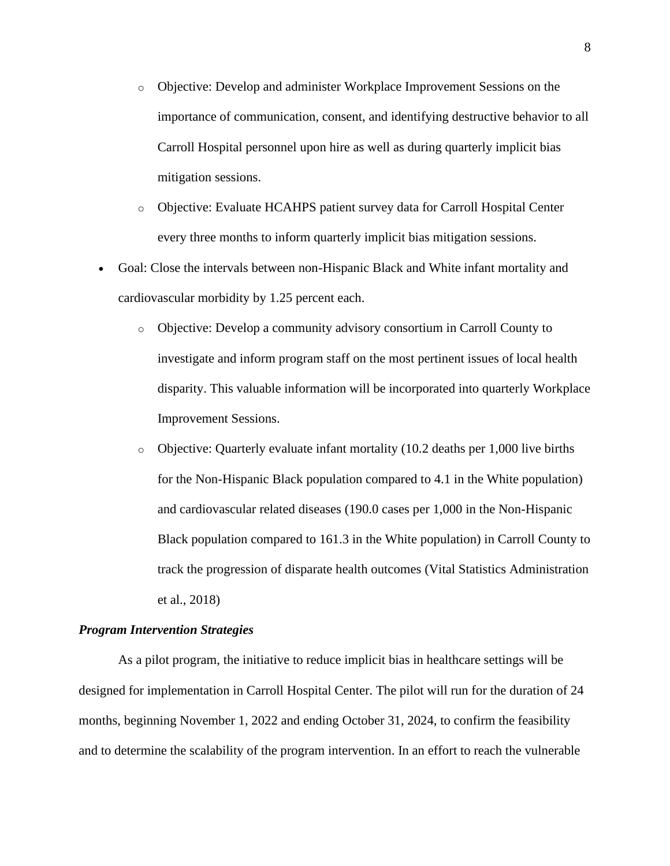- o Objective: Develop and administer Workplace Improvement Sessions on the importance of communication, consent, and identifying destructive behavior to all Carroll Hospital personnel upon hire as well as during quarterly implicit bias mitigation sessions.
- o Objective: Evaluate HCAHPS patient survey data for Carroll Hospital Center every three months to inform quarterly implicit bias mitigation sessions.
- Goal: Close the intervals between non-Hispanic Black and White infant mortality and cardiovascular morbidity by 1.25 percent each.
	- o Objective: Develop a community advisory consortium in Carroll County to investigate and inform program staff on the most pertinent issues of local health disparity. This valuable information will be incorporated into quarterly Workplace Improvement Sessions.
	- $\circ$  Objective: Quarterly evaluate infant mortality (10.2 deaths per 1,000 live births for the Non-Hispanic Black population compared to 4.1 in the White population) and cardiovascular related diseases (190.0 cases per 1,000 in the Non-Hispanic Black population compared to 161.3 in the White population) in Carroll County to track the progression of disparate health outcomes (Vital Statistics Administration et al., 2018)

#### *Program Intervention Strategies*

As a pilot program, the initiative to reduce implicit bias in healthcare settings will be designed for implementation in Carroll Hospital Center. The pilot will run for the duration of 24 months, beginning November 1, 2022 and ending October 31, 2024, to confirm the feasibility and to determine the scalability of the program intervention. In an effort to reach the vulnerable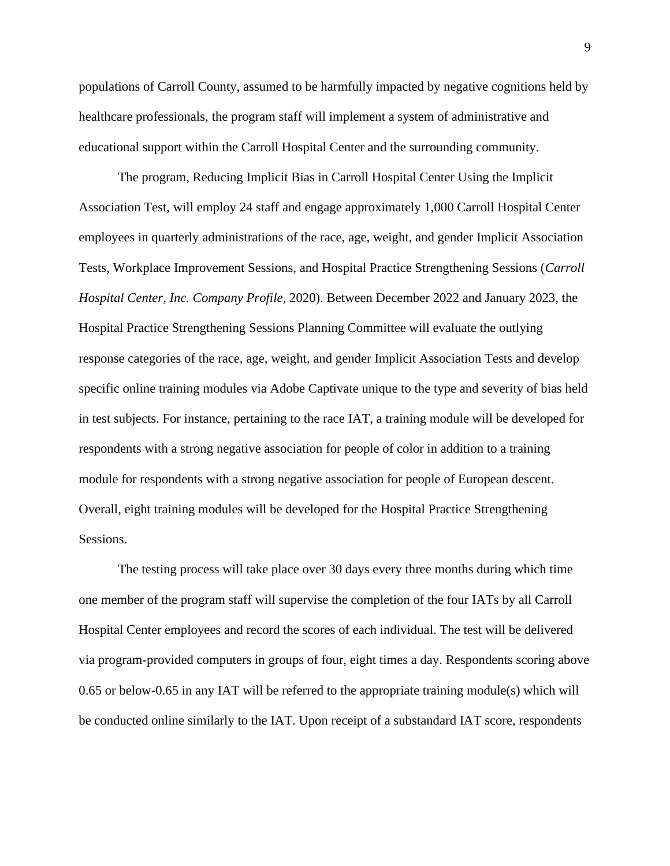populations of Carroll County, assumed to be harmfully impacted by negative cognitions held by healthcare professionals, the program staff will implement a system of administrative and educational support within the Carroll Hospital Center and the surrounding community.

The program, Reducing Implicit Bias in Carroll Hospital Center Using the Implicit Association Test, will employ 24 staff and engage approximately 1,000 Carroll Hospital Center employees in quarterly administrations of the race, age, weight, and gender Implicit Association Tests, Workplace Improvement Sessions, and Hospital Practice Strengthening Sessions (*Carroll Hospital Center, Inc. Company Profile*, 2020). Between December 2022 and January 2023, the Hospital Practice Strengthening Sessions Planning Committee will evaluate the outlying response categories of the race, age, weight, and gender Implicit Association Tests and develop specific online training modules via Adobe Captivate unique to the type and severity of bias held in test subjects. For instance, pertaining to the race IAT, a training module will be developed for respondents with a strong negative association for people of color in addition to a training module for respondents with a strong negative association for people of European descent. Overall, eight training modules will be developed for the Hospital Practice Strengthening Sessions.

The testing process will take place over 30 days every three months during which time one member of the program staff will supervise the completion of the four IATs by all Carroll Hospital Center employees and record the scores of each individual. The test will be delivered via program-provided computers in groups of four, eight times a day. Respondents scoring above 0.65 or below-0.65 in any IAT will be referred to the appropriate training module(s) which will be conducted online similarly to the IAT. Upon receipt of a substandard IAT score, respondents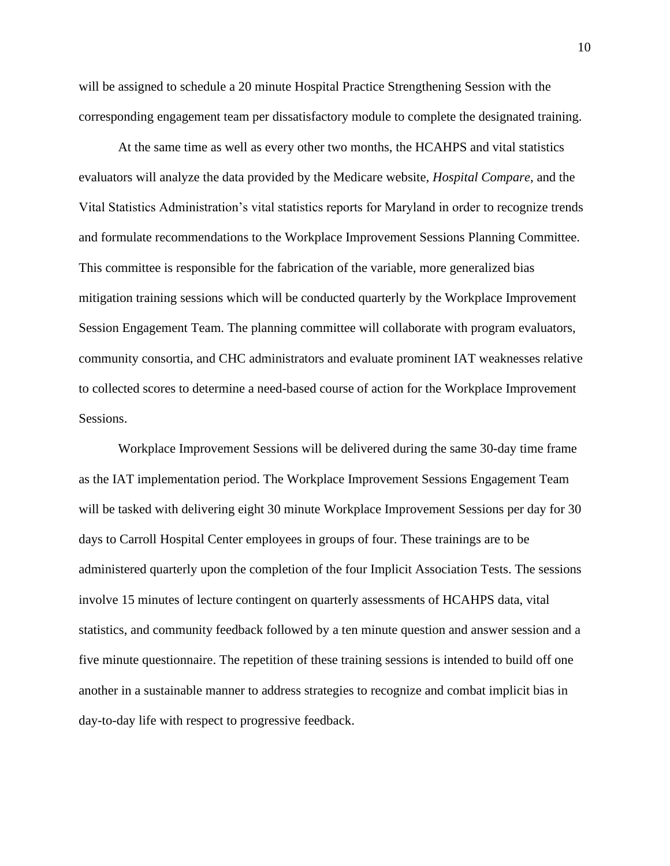will be assigned to schedule a 20 minute Hospital Practice Strengthening Session with the corresponding engagement team per dissatisfactory module to complete the designated training.

At the same time as well as every other two months, the HCAHPS and vital statistics evaluators will analyze the data provided by the Medicare website, *Hospital Compare*, and the Vital Statistics Administration's vital statistics reports for Maryland in order to recognize trends and formulate recommendations to the Workplace Improvement Sessions Planning Committee. This committee is responsible for the fabrication of the variable, more generalized bias mitigation training sessions which will be conducted quarterly by the Workplace Improvement Session Engagement Team. The planning committee will collaborate with program evaluators, community consortia, and CHC administrators and evaluate prominent IAT weaknesses relative to collected scores to determine a need-based course of action for the Workplace Improvement Sessions.

Workplace Improvement Sessions will be delivered during the same 30-day time frame as the IAT implementation period. The Workplace Improvement Sessions Engagement Team will be tasked with delivering eight 30 minute Workplace Improvement Sessions per day for 30 days to Carroll Hospital Center employees in groups of four. These trainings are to be administered quarterly upon the completion of the four Implicit Association Tests. The sessions involve 15 minutes of lecture contingent on quarterly assessments of HCAHPS data, vital statistics, and community feedback followed by a ten minute question and answer session and a five minute questionnaire. The repetition of these training sessions is intended to build off one another in a sustainable manner to address strategies to recognize and combat implicit bias in day-to-day life with respect to progressive feedback.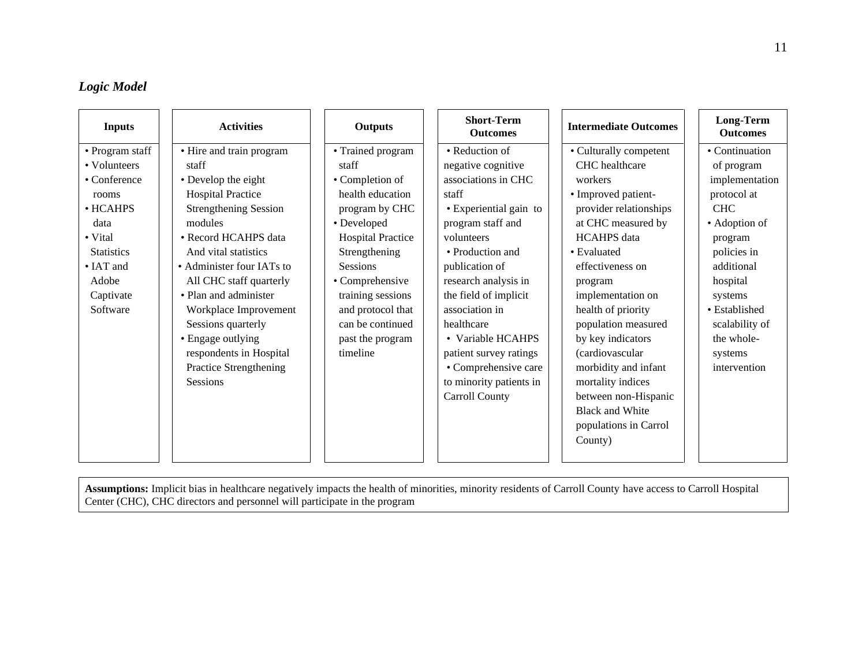# *Logic Model*

| <b>Inputs</b>     | <b>Activities</b>            | <b>Outputs</b>           | <b>Short-Term</b><br><b>Outcomes</b> | <b>Intermediate Outcomes</b> | Long-Term<br><b>Outcomes</b> |
|-------------------|------------------------------|--------------------------|--------------------------------------|------------------------------|------------------------------|
| • Program staff   | • Hire and train program     | • Trained program        | • Reduction of                       | • Culturally competent       | • Continuation               |
| • Volunteers      | staff                        | staff                    | negative cognitive                   | CHC healthcare               | of program                   |
| • Conference      | • Develop the eight          | • Completion of          | associations in CHC                  | workers                      | implementation               |
| rooms             | <b>Hospital Practice</b>     | health education         | staff                                | • Improved patient-          | protocol at                  |
| $\cdot$ HCAHPS    | <b>Strengthening Session</b> | program by CHC           | • Experiential gain to               | provider relationships       | <b>CHC</b>                   |
| data              | modules                      | • Developed              | program staff and                    | at CHC measured by           | • Adoption of                |
| • Vital           | • Record HCAHPS data         | <b>Hospital Practice</b> | volunteers                           | <b>HCAHPS</b> data           | program                      |
| <b>Statistics</b> | And vital statistics         | Strengthening            | • Production and                     | • Evaluated                  | policies in                  |
| • IAT and         | • Administer four IATs to    | <b>Sessions</b>          | publication of                       | effectiveness on             | additional                   |
| Adobe             | All CHC staff quarterly      | • Comprehensive          | research analysis in                 | program                      | hospital                     |
| Captivate         | • Plan and administer        | training sessions        | the field of implicit                | implementation on            | systems                      |
| Software          | Workplace Improvement        | and protocol that        | association in                       | health of priority           | • Established                |
|                   | Sessions quarterly           | can be continued         | healthcare                           | population measured          | scalability of               |
|                   | • Engage outlying            | past the program         | • Variable HCAHPS                    | by key indicators            | the whole-                   |
|                   | respondents in Hospital      | timeline                 | patient survey ratings               | (cardiovascular              | systems                      |
|                   | Practice Strengthening       |                          | • Comprehensive care                 | morbidity and infant         | intervention                 |
|                   | <b>Sessions</b>              |                          | to minority patients in              | mortality indices            |                              |
|                   |                              |                          | <b>Carroll County</b>                | between non-Hispanic         |                              |
|                   |                              |                          |                                      | <b>Black and White</b>       |                              |
|                   |                              |                          |                                      | populations in Carrol        |                              |
|                   |                              |                          |                                      | County)                      |                              |
|                   |                              |                          |                                      |                              |                              |

**Assumptions:** Implicit bias in healthcare negatively impacts the health of minorities, minority residents of Carroll County have access to Carroll Hospital Center (CHC), CHC directors and personnel will participate in the program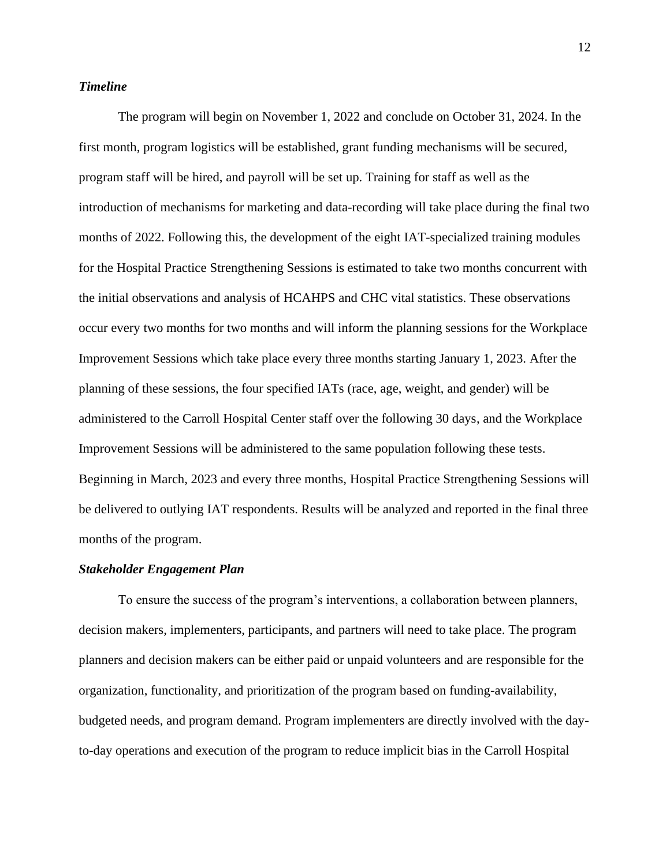### *Timeline*

The program will begin on November 1, 2022 and conclude on October 31, 2024. In the first month, program logistics will be established, grant funding mechanisms will be secured, program staff will be hired, and payroll will be set up. Training for staff as well as the introduction of mechanisms for marketing and data-recording will take place during the final two months of 2022. Following this, the development of the eight IAT-specialized training modules for the Hospital Practice Strengthening Sessions is estimated to take two months concurrent with the initial observations and analysis of HCAHPS and CHC vital statistics. These observations occur every two months for two months and will inform the planning sessions for the Workplace Improvement Sessions which take place every three months starting January 1, 2023. After the planning of these sessions, the four specified IATs (race, age, weight, and gender) will be administered to the Carroll Hospital Center staff over the following 30 days, and the Workplace Improvement Sessions will be administered to the same population following these tests. Beginning in March, 2023 and every three months, Hospital Practice Strengthening Sessions will be delivered to outlying IAT respondents. Results will be analyzed and reported in the final three months of the program.

#### *Stakeholder Engagement Plan*

To ensure the success of the program's interventions, a collaboration between planners, decision makers, implementers, participants, and partners will need to take place. The program planners and decision makers can be either paid or unpaid volunteers and are responsible for the organization, functionality, and prioritization of the program based on funding-availability, budgeted needs, and program demand. Program implementers are directly involved with the dayto-day operations and execution of the program to reduce implicit bias in the Carroll Hospital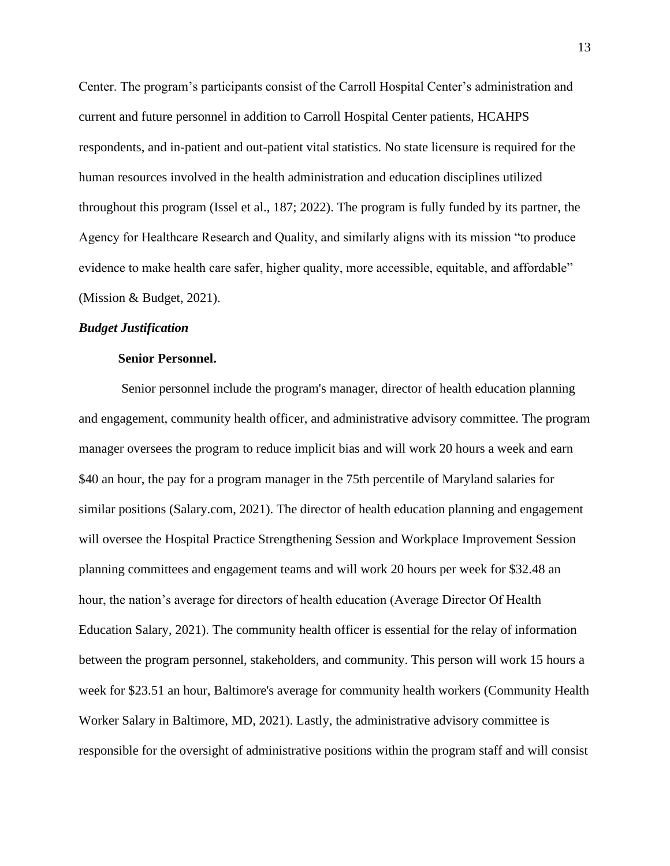Center. The program's participants consist of the Carroll Hospital Center's administration and current and future personnel in addition to Carroll Hospital Center patients, HCAHPS respondents, and in-patient and out-patient vital statistics. No state licensure is required for the human resources involved in the health administration and education disciplines utilized throughout this program (Issel et al., 187; 2022). The program is fully funded by its partner, the Agency for Healthcare Research and Quality, and similarly aligns with its mission "to produce evidence to make health care safer, higher quality, more accessible, equitable, and affordable" (Mission & Budget, 2021).

#### *Budget Justification*

#### **Senior Personnel.**

Senior personnel include the program's manager, director of health education planning and engagement, community health officer, and administrative advisory committee. The program manager oversees the program to reduce implicit bias and will work 20 hours a week and earn \$40 an hour, the pay for a program manager in the 75th percentile of Maryland salaries for similar positions (Salary.com, 2021). The director of health education planning and engagement will oversee the Hospital Practice Strengthening Session and Workplace Improvement Session planning committees and engagement teams and will work 20 hours per week for \$32.48 an hour, the nation's average for directors of health education (Average Director Of Health Education Salary, 2021). The community health officer is essential for the relay of information between the program personnel, stakeholders, and community. This person will work 15 hours a week for \$23.51 an hour, Baltimore's average for community health workers (Community Health Worker Salary in Baltimore, MD, 2021). Lastly, the administrative advisory committee is responsible for the oversight of administrative positions within the program staff and will consist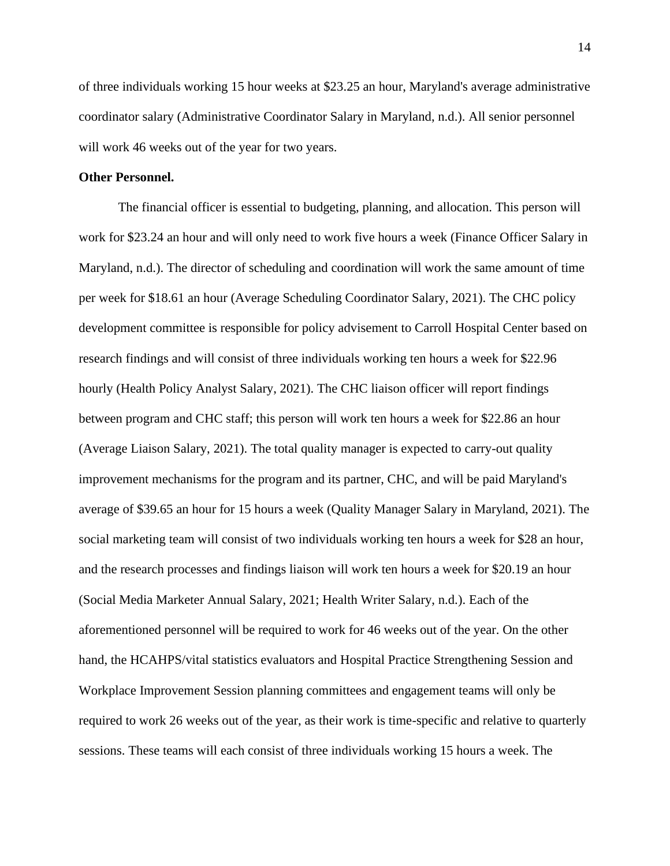of three individuals working 15 hour weeks at \$23.25 an hour, Maryland's average administrative coordinator salary (Administrative Coordinator Salary in Maryland, n.d.). All senior personnel will work 46 weeks out of the year for two years.

### **Other Personnel.**

The financial officer is essential to budgeting, planning, and allocation. This person will work for \$23.24 an hour and will only need to work five hours a week (Finance Officer Salary in Maryland, n.d.). The director of scheduling and coordination will work the same amount of time per week for \$18.61 an hour (Average Scheduling Coordinator Salary, 2021). The CHC policy development committee is responsible for policy advisement to Carroll Hospital Center based on research findings and will consist of three individuals working ten hours a week for \$22.96 hourly (Health Policy Analyst Salary, 2021). The CHC liaison officer will report findings between program and CHC staff; this person will work ten hours a week for \$22.86 an hour (Average Liaison Salary, 2021). The total quality manager is expected to carry-out quality improvement mechanisms for the program and its partner, CHC, and will be paid Maryland's average of \$39.65 an hour for 15 hours a week (Quality Manager Salary in Maryland, 2021). The social marketing team will consist of two individuals working ten hours a week for \$28 an hour, and the research processes and findings liaison will work ten hours a week for \$20.19 an hour (Social Media Marketer Annual Salary, 2021; Health Writer Salary, n.d.). Each of the aforementioned personnel will be required to work for 46 weeks out of the year. On the other hand, the HCAHPS/vital statistics evaluators and Hospital Practice Strengthening Session and Workplace Improvement Session planning committees and engagement teams will only be required to work 26 weeks out of the year, as their work is time-specific and relative to quarterly sessions. These teams will each consist of three individuals working 15 hours a week. The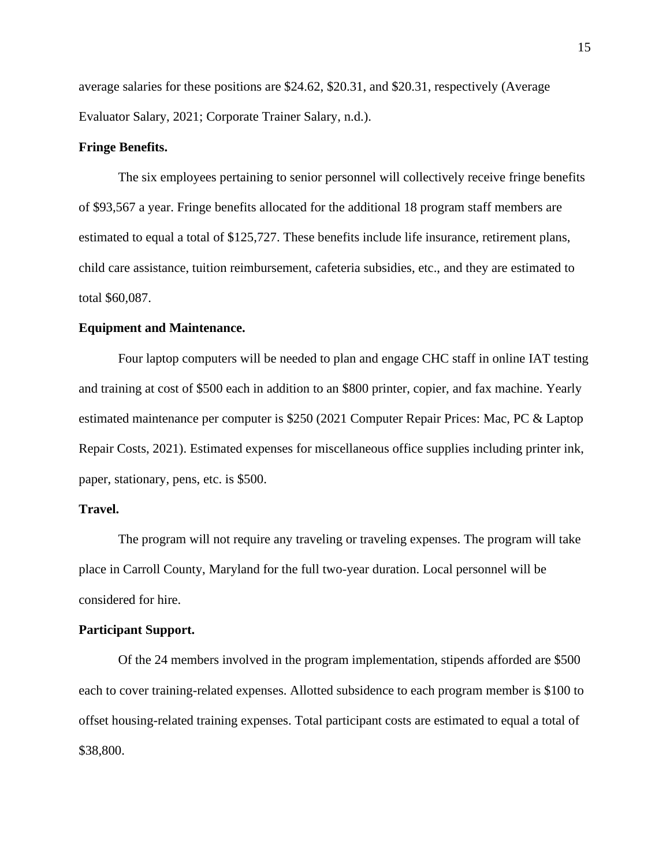average salaries for these positions are \$24.62, \$20.31, and \$20.31, respectively (Average Evaluator Salary, 2021; Corporate Trainer Salary, n.d.).

### **Fringe Benefits.**

The six employees pertaining to senior personnel will collectively receive fringe benefits of \$93,567 a year. Fringe benefits allocated for the additional 18 program staff members are estimated to equal a total of \$125,727. These benefits include life insurance, retirement plans, child care assistance, tuition reimbursement, cafeteria subsidies, etc., and they are estimated to total \$60,087.

### **Equipment and Maintenance.**

Four laptop computers will be needed to plan and engage CHC staff in online IAT testing and training at cost of \$500 each in addition to an \$800 printer, copier, and fax machine. Yearly estimated maintenance per computer is \$250 (2021 Computer Repair Prices: Mac, PC & Laptop Repair Costs, 2021). Estimated expenses for miscellaneous office supplies including printer ink, paper, stationary, pens, etc. is \$500.

## **Travel.**

The program will not require any traveling or traveling expenses. The program will take place in Carroll County, Maryland for the full two-year duration. Local personnel will be considered for hire.

#### **Participant Support.**

Of the 24 members involved in the program implementation, stipends afforded are \$500 each to cover training-related expenses. Allotted subsidence to each program member is \$100 to offset housing-related training expenses. Total participant costs are estimated to equal a total of \$38,800.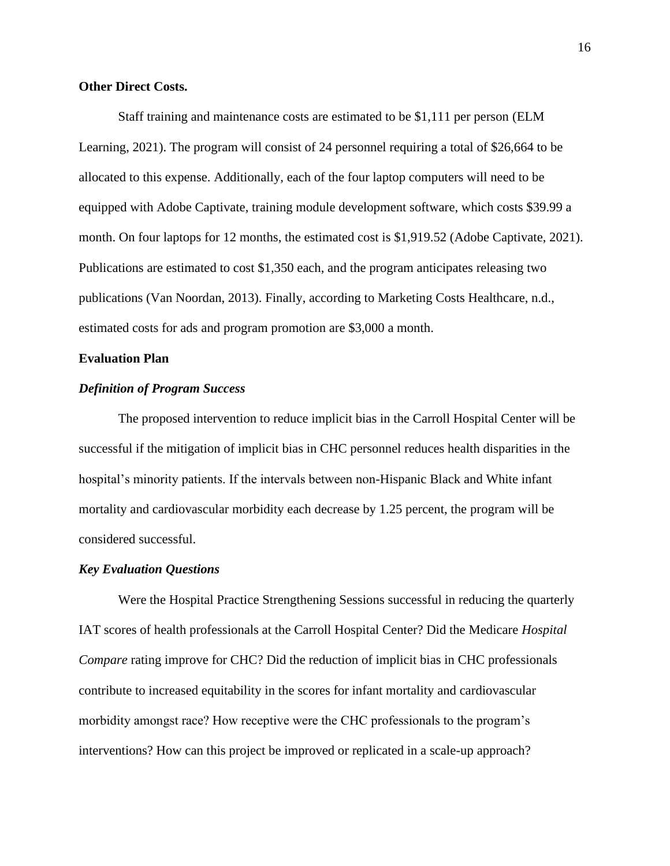### **Other Direct Costs.**

Staff training and maintenance costs are estimated to be \$1,111 per person (ELM Learning, 2021). The program will consist of 24 personnel requiring a total of \$26,664 to be allocated to this expense. Additionally, each of the four laptop computers will need to be equipped with Adobe Captivate, training module development software, which costs \$39.99 a month. On four laptops for 12 months, the estimated cost is \$1,919.52 (Adobe Captivate, 2021). Publications are estimated to cost \$1,350 each, and the program anticipates releasing two publications (Van Noordan, 2013). Finally, according to Marketing Costs Healthcare, n.d., estimated costs for ads and program promotion are \$3,000 a month.

#### **Evaluation Plan**

## *Definition of Program Success*

The proposed intervention to reduce implicit bias in the Carroll Hospital Center will be successful if the mitigation of implicit bias in CHC personnel reduces health disparities in the hospital's minority patients. If the intervals between non-Hispanic Black and White infant mortality and cardiovascular morbidity each decrease by 1.25 percent, the program will be considered successful.

#### *Key Evaluation Questions*

Were the Hospital Practice Strengthening Sessions successful in reducing the quarterly IAT scores of health professionals at the Carroll Hospital Center? Did the Medicare *Hospital Compare* rating improve for CHC? Did the reduction of implicit bias in CHC professionals contribute to increased equitability in the scores for infant mortality and cardiovascular morbidity amongst race? How receptive were the CHC professionals to the program's interventions? How can this project be improved or replicated in a scale-up approach?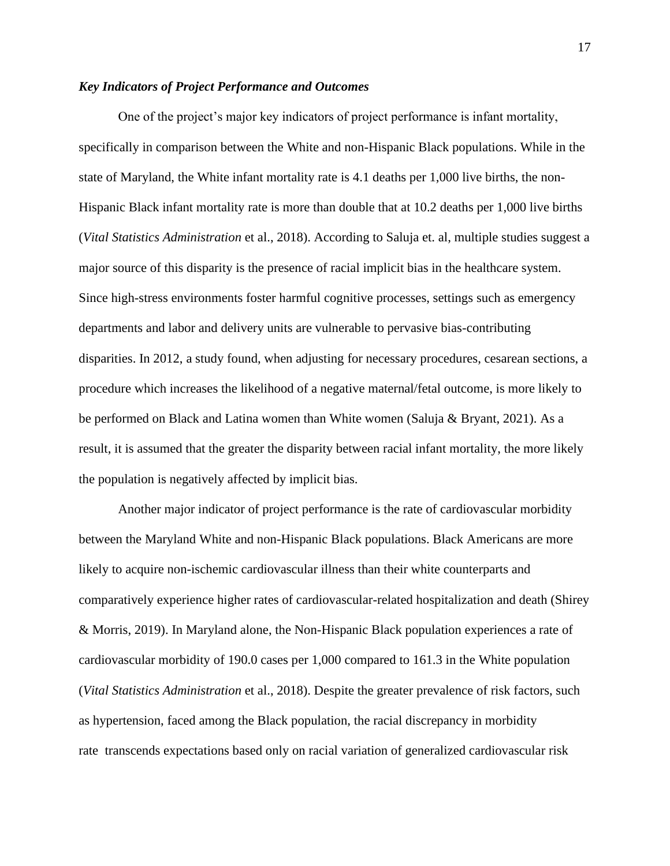## *Key Indicators of Project Performance and Outcomes*

One of the project's major key indicators of project performance is infant mortality, specifically in comparison between the White and non-Hispanic Black populations. While in the state of Maryland, the White infant mortality rate is 4.1 deaths per 1,000 live births, the non-Hispanic Black infant mortality rate is more than double that at 10.2 deaths per 1,000 live births (*Vital Statistics Administration* et al., 2018). According to Saluja et. al, multiple studies suggest a major source of this disparity is the presence of racial implicit bias in the healthcare system. Since high-stress environments foster harmful cognitive processes, settings such as emergency departments and labor and delivery units are vulnerable to pervasive bias-contributing disparities. In 2012, a study found, when adjusting for necessary procedures, cesarean sections, a procedure which increases the likelihood of a negative maternal/fetal outcome, is more likely to be performed on Black and Latina women than White women (Saluja & Bryant, 2021). As a result, it is assumed that the greater the disparity between racial infant mortality, the more likely the population is negatively affected by implicit bias.

Another major indicator of project performance is the rate of cardiovascular morbidity between the Maryland White and non-Hispanic Black populations. Black Americans are more likely to acquire non-ischemic cardiovascular illness than their white counterparts and comparatively experience higher rates of cardiovascular-related hospitalization and death (Shirey & Morris, 2019). In Maryland alone, the Non-Hispanic Black population experiences a rate of cardiovascular morbidity of 190.0 cases per 1,000 compared to 161.3 in the White population (*Vital Statistics Administration* et al., 2018). Despite the greater prevalence of risk factors, such as hypertension, faced among the Black population, the racial discrepancy in morbidity rate transcends expectations based only on racial variation of generalized cardiovascular risk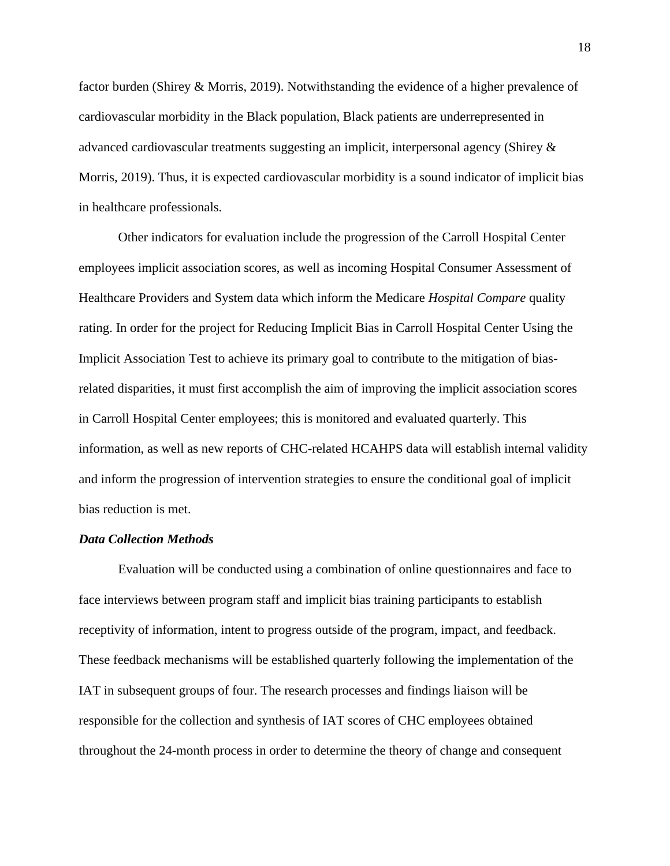factor burden (Shirey & Morris, 2019). Notwithstanding the evidence of a higher prevalence of cardiovascular morbidity in the Black population, Black patients are underrepresented in advanced cardiovascular treatments suggesting an implicit, interpersonal agency (Shirey & Morris, 2019). Thus, it is expected cardiovascular morbidity is a sound indicator of implicit bias in healthcare professionals.

Other indicators for evaluation include the progression of the Carroll Hospital Center employees implicit association scores, as well as incoming Hospital Consumer Assessment of Healthcare Providers and System data which inform the Medicare *Hospital Compare* quality rating. In order for the project for Reducing Implicit Bias in Carroll Hospital Center Using the Implicit Association Test to achieve its primary goal to contribute to the mitigation of biasrelated disparities, it must first accomplish the aim of improving the implicit association scores in Carroll Hospital Center employees; this is monitored and evaluated quarterly. This information, as well as new reports of CHC-related HCAHPS data will establish internal validity and inform the progression of intervention strategies to ensure the conditional goal of implicit bias reduction is met.

#### *Data Collection Methods*

Evaluation will be conducted using a combination of online questionnaires and face to face interviews between program staff and implicit bias training participants to establish receptivity of information, intent to progress outside of the program, impact, and feedback. These feedback mechanisms will be established quarterly following the implementation of the IAT in subsequent groups of four. The research processes and findings liaison will be responsible for the collection and synthesis of IAT scores of CHC employees obtained throughout the 24-month process in order to determine the theory of change and consequent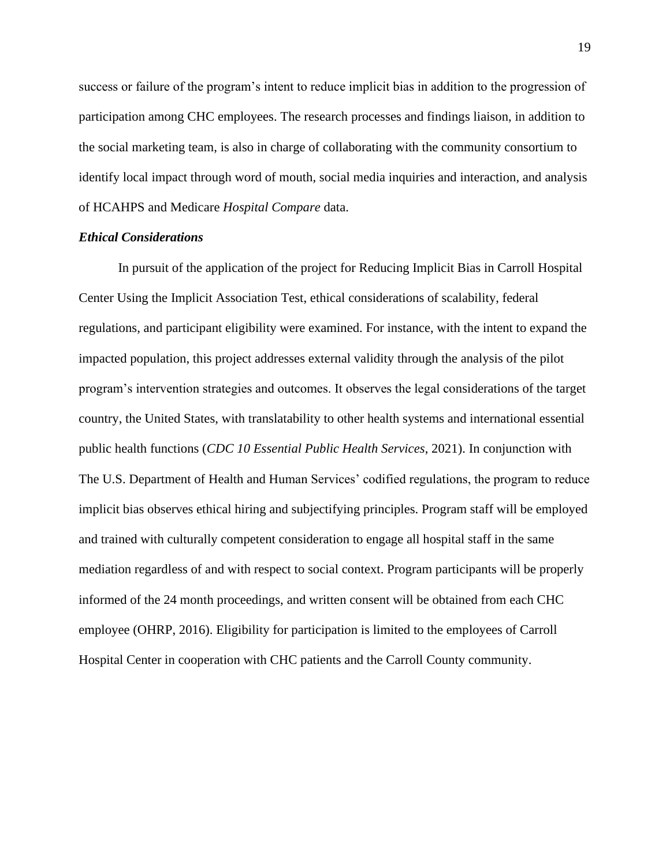success or failure of the program's intent to reduce implicit bias in addition to the progression of participation among CHC employees. The research processes and findings liaison, in addition to the social marketing team, is also in charge of collaborating with the community consortium to identify local impact through word of mouth, social media inquiries and interaction, and analysis of HCAHPS and Medicare *Hospital Compare* data.

#### *Ethical Considerations*

In pursuit of the application of the project for Reducing Implicit Bias in Carroll Hospital Center Using the Implicit Association Test, ethical considerations of scalability, federal regulations, and participant eligibility were examined. For instance, with the intent to expand the impacted population, this project addresses external validity through the analysis of the pilot program's intervention strategies and outcomes. It observes the legal considerations of the target country, the United States, with translatability to other health systems and international essential public health functions (*CDC 10 Essential Public Health Services*, 2021). In conjunction with The U.S. Department of Health and Human Services' codified regulations, the program to reduce implicit bias observes ethical hiring and subjectifying principles. Program staff will be employed and trained with culturally competent consideration to engage all hospital staff in the same mediation regardless of and with respect to social context. Program participants will be properly informed of the 24 month proceedings, and written consent will be obtained from each CHC employee (OHRP, 2016). Eligibility for participation is limited to the employees of Carroll Hospital Center in cooperation with CHC patients and the Carroll County community.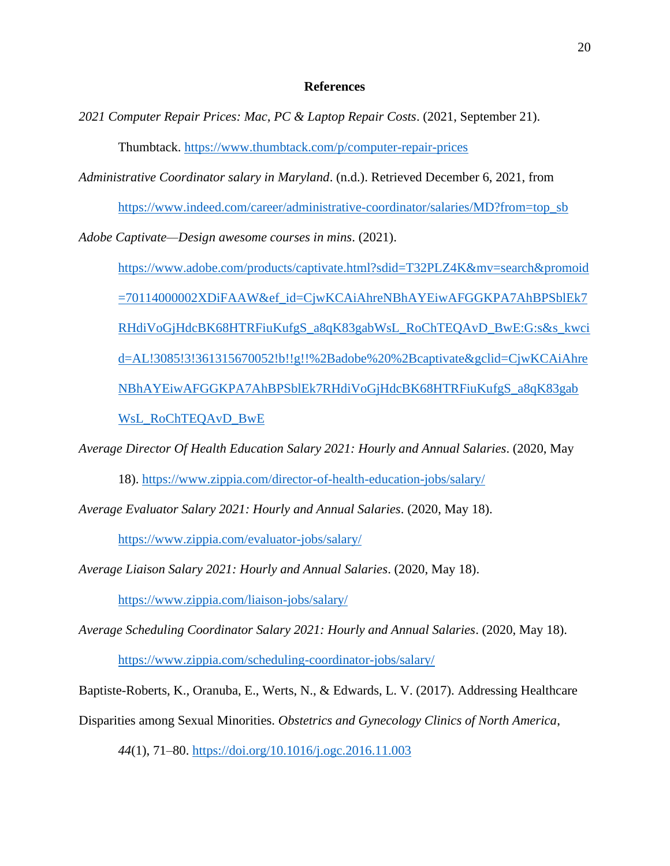#### **References**

*2021 Computer Repair Prices: Mac, PC & Laptop Repair Costs*. (2021, September 21). Thumbtack.<https://www.thumbtack.com/p/computer-repair-prices>

*Administrative Coordinator salary in Maryland*. (n.d.). Retrieved December 6, 2021, from

[https://www.indeed.com/career/administrative-coordinator/salaries/MD?from=top\\_sb](https://www.indeed.com/career/administrative-coordinator/salaries/MD?from=top_sb)

*Adobe Captivate—Design awesome courses in mins*. (2021).

[https://www.adobe.com/products/captivate.html?sdid=T32PLZ4K&mv=search&promoid](https://www.adobe.com/products/captivate.html?sdid=T32PLZ4K&mv=search&promoid=70114000002XDiFAAW&ef_id=CjwKCAiAhreNBhAYEiwAFGGKPA7AhBPSblEk7RHdiVoGjHdcBK68HTRFiuKufgS_a8qK83gabWsL_RoChTEQAvD_BwE:G:s&s_kwcid=AL!3085!3!361315670052!b!!g!!%2Badobe%20%2Bcaptivate&gclid=CjwKCAiAhreNBhAYEiwAFGGKPA7AhBPSblEk7RHdiVoGjHdcBK68HTRFiuKufgS_a8qK83gabWsL_RoChTEQAvD_BwE) [=70114000002XDiFAAW&ef\\_id=CjwKCAiAhreNBhAYEiwAFGGKPA7AhBPSblEk7](https://www.adobe.com/products/captivate.html?sdid=T32PLZ4K&mv=search&promoid=70114000002XDiFAAW&ef_id=CjwKCAiAhreNBhAYEiwAFGGKPA7AhBPSblEk7RHdiVoGjHdcBK68HTRFiuKufgS_a8qK83gabWsL_RoChTEQAvD_BwE:G:s&s_kwcid=AL!3085!3!361315670052!b!!g!!%2Badobe%20%2Bcaptivate&gclid=CjwKCAiAhreNBhAYEiwAFGGKPA7AhBPSblEk7RHdiVoGjHdcBK68HTRFiuKufgS_a8qK83gabWsL_RoChTEQAvD_BwE) [RHdiVoGjHdcBK68HTRFiuKufgS\\_a8qK83gabWsL\\_RoChTEQAvD\\_BwE:G:s&s\\_kwci](https://www.adobe.com/products/captivate.html?sdid=T32PLZ4K&mv=search&promoid=70114000002XDiFAAW&ef_id=CjwKCAiAhreNBhAYEiwAFGGKPA7AhBPSblEk7RHdiVoGjHdcBK68HTRFiuKufgS_a8qK83gabWsL_RoChTEQAvD_BwE:G:s&s_kwcid=AL!3085!3!361315670052!b!!g!!%2Badobe%20%2Bcaptivate&gclid=CjwKCAiAhreNBhAYEiwAFGGKPA7AhBPSblEk7RHdiVoGjHdcBK68HTRFiuKufgS_a8qK83gabWsL_RoChTEQAvD_BwE) [d=AL!3085!3!361315670052!b!!g!!%2Badobe%20%2Bcaptivate&gclid=CjwKCAiAhre](https://www.adobe.com/products/captivate.html?sdid=T32PLZ4K&mv=search&promoid=70114000002XDiFAAW&ef_id=CjwKCAiAhreNBhAYEiwAFGGKPA7AhBPSblEk7RHdiVoGjHdcBK68HTRFiuKufgS_a8qK83gabWsL_RoChTEQAvD_BwE:G:s&s_kwcid=AL!3085!3!361315670052!b!!g!!%2Badobe%20%2Bcaptivate&gclid=CjwKCAiAhreNBhAYEiwAFGGKPA7AhBPSblEk7RHdiVoGjHdcBK68HTRFiuKufgS_a8qK83gabWsL_RoChTEQAvD_BwE) [NBhAYEiwAFGGKPA7AhBPSblEk7RHdiVoGjHdcBK68HTRFiuKufgS\\_a8qK83gab](https://www.adobe.com/products/captivate.html?sdid=T32PLZ4K&mv=search&promoid=70114000002XDiFAAW&ef_id=CjwKCAiAhreNBhAYEiwAFGGKPA7AhBPSblEk7RHdiVoGjHdcBK68HTRFiuKufgS_a8qK83gabWsL_RoChTEQAvD_BwE:G:s&s_kwcid=AL!3085!3!361315670052!b!!g!!%2Badobe%20%2Bcaptivate&gclid=CjwKCAiAhreNBhAYEiwAFGGKPA7AhBPSblEk7RHdiVoGjHdcBK68HTRFiuKufgS_a8qK83gabWsL_RoChTEQAvD_BwE) [WsL\\_RoChTEQAvD\\_BwE](https://www.adobe.com/products/captivate.html?sdid=T32PLZ4K&mv=search&promoid=70114000002XDiFAAW&ef_id=CjwKCAiAhreNBhAYEiwAFGGKPA7AhBPSblEk7RHdiVoGjHdcBK68HTRFiuKufgS_a8qK83gabWsL_RoChTEQAvD_BwE:G:s&s_kwcid=AL!3085!3!361315670052!b!!g!!%2Badobe%20%2Bcaptivate&gclid=CjwKCAiAhreNBhAYEiwAFGGKPA7AhBPSblEk7RHdiVoGjHdcBK68HTRFiuKufgS_a8qK83gabWsL_RoChTEQAvD_BwE)

*Average Director Of Health Education Salary 2021: Hourly and Annual Salaries*. (2020, May

18).<https://www.zippia.com/director-of-health-education-jobs/salary/>

*Average Evaluator Salary 2021: Hourly and Annual Salaries*. (2020, May 18).

<https://www.zippia.com/evaluator-jobs/salary/>

*Average Liaison Salary 2021: Hourly and Annual Salaries*. (2020, May 18).

<https://www.zippia.com/liaison-jobs/salary/>

*Average Scheduling Coordinator Salary 2021: Hourly and Annual Salaries*. (2020, May 18). <https://www.zippia.com/scheduling-coordinator-jobs/salary/>

Baptiste-Roberts, K., Oranuba, E., Werts, N., & Edwards, L. V. (2017). Addressing Healthcare

Disparities among Sexual Minorities. *Obstetrics and Gynecology Clinics of North America*,

*44*(1), 71–80.<https://doi.org/10.1016/j.ogc.2016.11.003>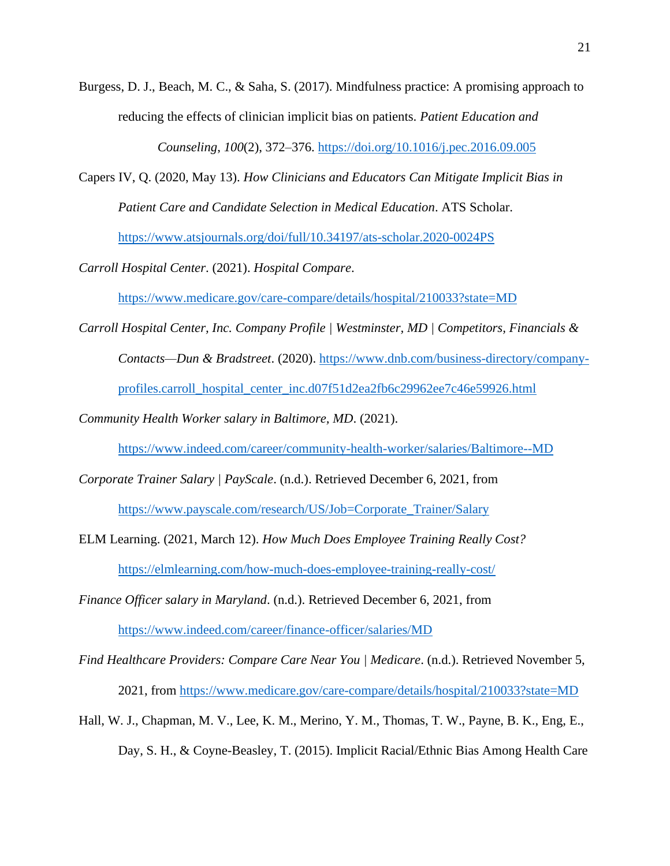- Burgess, D. J., Beach, M. C., & Saha, S. (2017). Mindfulness practice: A promising approach to reducing the effects of clinician implicit bias on patients. *Patient Education and Counseling*, *100*(2), 372–376.<https://doi.org/10.1016/j.pec.2016.09.005>
- Capers IV, Q. (2020, May 13). *How Clinicians and Educators Can Mitigate Implicit Bias in Patient Care and Candidate Selection in Medical Education*. ATS Scholar. <https://www.atsjournals.org/doi/full/10.34197/ats-scholar.2020-0024PS>

*Carroll Hospital Center*. (2021). *Hospital Compare*.

<https://www.medicare.gov/care-compare/details/hospital/210033?state=MD>

*Carroll Hospital Center, Inc. Company Profile | Westminster, MD | Competitors, Financials & Contacts—Dun & Bradstreet*. (2020). [https://www.dnb.com/business-directory/company](https://www.dnb.com/business-directory/company-profiles.carroll_hospital_center_inc.d07f51d2ea2fb6c29962ee7c46e59926.html)[profiles.carroll\\_hospital\\_center\\_inc.d07f51d2ea2fb6c29962ee7c46e59926.html](https://www.dnb.com/business-directory/company-profiles.carroll_hospital_center_inc.d07f51d2ea2fb6c29962ee7c46e59926.html)

*Community Health Worker salary in Baltimore, MD*. (2021).

<https://www.indeed.com/career/community-health-worker/salaries/Baltimore--MD>

- *Corporate Trainer Salary | PayScale*. (n.d.). Retrieved December 6, 2021, from [https://www.payscale.com/research/US/Job=Corporate\\_Trainer/Salary](https://www.payscale.com/research/US/Job=Corporate_Trainer/Salary)
- ELM Learning. (2021, March 12). *How Much Does Employee Training Really Cost?* <https://elmlearning.com/how-much-does-employee-training-really-cost/>
- *Finance Officer salary in Maryland*. (n.d.). Retrieved December 6, 2021, from <https://www.indeed.com/career/finance-officer/salaries/MD>
- *Find Healthcare Providers: Compare Care Near You | Medicare.* (n.d.). Retrieved November 5, 2021, from<https://www.medicare.gov/care-compare/details/hospital/210033?state=MD>
- Hall, W. J., Chapman, M. V., Lee, K. M., Merino, Y. M., Thomas, T. W., Payne, B. K., Eng, E., Day, S. H., & Coyne-Beasley, T. (2015). Implicit Racial/Ethnic Bias Among Health Care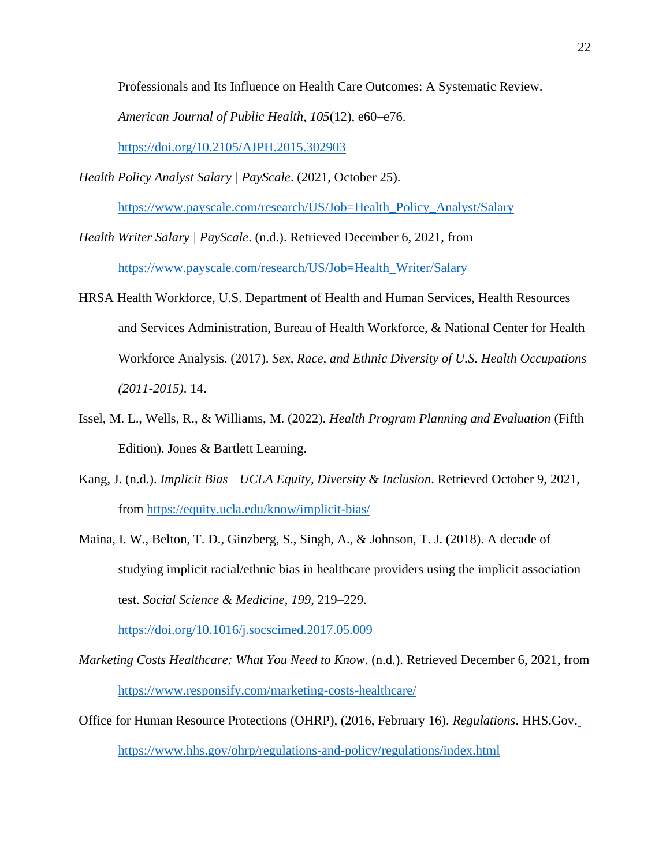Professionals and Its Influence on Health Care Outcomes: A Systematic Review.

*American Journal of Public Health*, *105*(12), e60–e76.

<https://doi.org/10.2105/AJPH.2015.302903>

*Health Policy Analyst Salary | PayScale*. (2021, October 25).

[https://www.payscale.com/research/US/Job=Health\\_Policy\\_Analyst/Salary](https://www.payscale.com/research/US/Job=Health_Policy_Analyst/Salary)

- *Health Writer Salary | PayScale*. (n.d.). Retrieved December 6, 2021, from [https://www.payscale.com/research/US/Job=Health\\_Writer/Salary](https://www.payscale.com/research/US/Job=Health_Writer/Salary)
- HRSA Health Workforce, U.S. Department of Health and Human Services, Health Resources and Services Administration, Bureau of Health Workforce, & National Center for Health Workforce Analysis. (2017). *Sex, Race, and Ethnic Diversity of U.S. Health Occupations (2011-2015)*. 14.
- Issel, M. L., Wells, R., & Williams, M. (2022). *Health Program Planning and Evaluation* (Fifth Edition). Jones & Bartlett Learning.
- Kang, J. (n.d.). *Implicit Bias—UCLA Equity, Diversity & Inclusion*. Retrieved October 9, 2021, from<https://equity.ucla.edu/know/implicit-bias/>
- Maina, I. W., Belton, T. D., Ginzberg, S., Singh, A., & Johnson, T. J. (2018). A decade of studying implicit racial/ethnic bias in healthcare providers using the implicit association test. *Social Science & Medicine*, *199*, 219–229.

<https://doi.org/10.1016/j.socscimed.2017.05.009>

- *Marketing Costs Healthcare: What You Need to Know*. (n.d.). Retrieved December 6, 2021, from <https://www.responsify.com/marketing-costs-healthcare/>
- Office for Human Resource Protections (OHRP), (2016, February 16). *Regulations*. HHS.Gov[.](https://www.hhs.gov/ohrp/regulations-and-policy/regulations/index.html) <https://www.hhs.gov/ohrp/regulations-and-policy/regulations/index.html>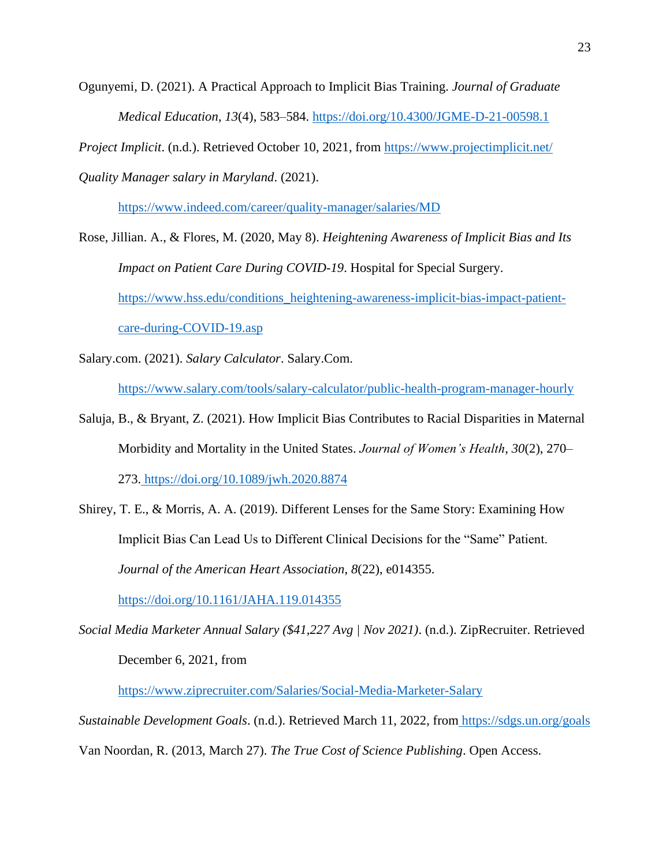- Ogunyemi, D. (2021). A Practical Approach to Implicit Bias Training. *Journal of Graduate Medical Education*, *13*(4), 583–584.<https://doi.org/10.4300/JGME-D-21-00598.1>
- *Project Implicit.* (n.d.). Retrieved October 10, 2021, from<https://www.projectimplicit.net/> *Quality Manager salary in Maryland*. (2021).

<https://www.indeed.com/career/quality-manager/salaries/MD>

Rose, Jillian. A., & Flores, M. (2020, May 8). *Heightening Awareness of Implicit Bias and Its Impact on Patient Care During COVID-19*. Hospital for Special Surgery. [https://www.hss.edu/conditions\\_heightening-awareness-implicit-bias-impact-patient](https://www.hss.edu/conditions_heightening-awareness-implicit-bias-impact-patient-care-during-COVID-19.asp)[care-during-COVID-19.asp](https://www.hss.edu/conditions_heightening-awareness-implicit-bias-impact-patient-care-during-COVID-19.asp)

Salary.com. (2021). *Salary Calculator*. Salary.Com.

<https://www.salary.com/tools/salary-calculator/public-health-program-manager-hourly>

- Saluja, B., & Bryant, Z. (2021). How Implicit Bias Contributes to Racial Disparities in Maternal Morbidity and Mortality in the United States. *Journal of Women's Health*, *30*(2), 270– 273. <https://doi.org/10.1089/jwh.2020.8874>
- Shirey, T. E., & Morris, A. A. (2019). Different Lenses for the Same Story: Examining How Implicit Bias Can Lead Us to Different Clinical Decisions for the "Same" Patient. *Journal of the American Heart Association*, *8*(22), e014355[.](https://doi.org/10.1161/JAHA.119.014355)

<https://doi.org/10.1161/JAHA.119.014355>

*Social Media Marketer Annual Salary (\$41,227 Avg | Nov 2021)*. (n.d.). ZipRecruiter. Retrieved December 6, 2021, from

<https://www.ziprecruiter.com/Salaries/Social-Media-Marketer-Salary>

*Sustainable Development Goals*. (n.d.). Retrieved March 11, 2022, from <https://sdgs.un.org/goals> Van Noordan, R. (2013, March 27). *The True Cost of Science Publishing*. Open Access.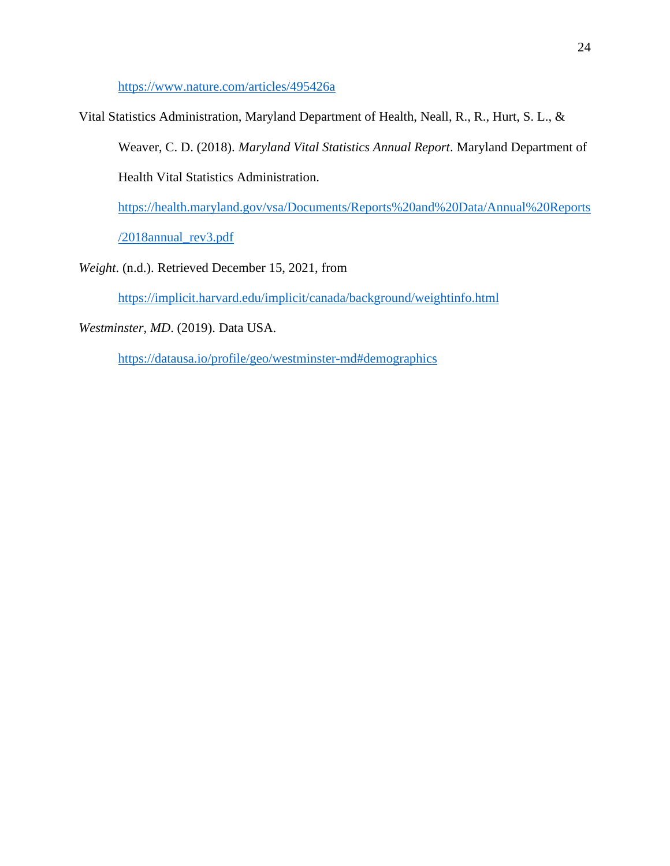<https://www.nature.com/articles/495426a>

Vital Statistics Administration, Maryland Department of Health, Neall, R., R., Hurt, S. L., &

Weaver, C. D. (2018). *Maryland Vital Statistics Annual Report*. Maryland Department of Health Vital Statistics Administration.

[https://health.maryland.gov/vsa/Documents/Reports%20and%20Data/Annual%20Reports](https://health.maryland.gov/vsa/Documents/Reports%20and%20Data/Annual%20Reports/2018annual_rev3.pdf)

[/2018annual\\_rev3.pdf](https://health.maryland.gov/vsa/Documents/Reports%20and%20Data/Annual%20Reports/2018annual_rev3.pdf)

*Weight*. (n.d.). Retrieved December 15, 2021, from

<https://implicit.harvard.edu/implicit/canada/background/weightinfo.html>

*Westminster, MD*. (2019). Data USA.

<https://datausa.io/profile/geo/westminster-md#demographics>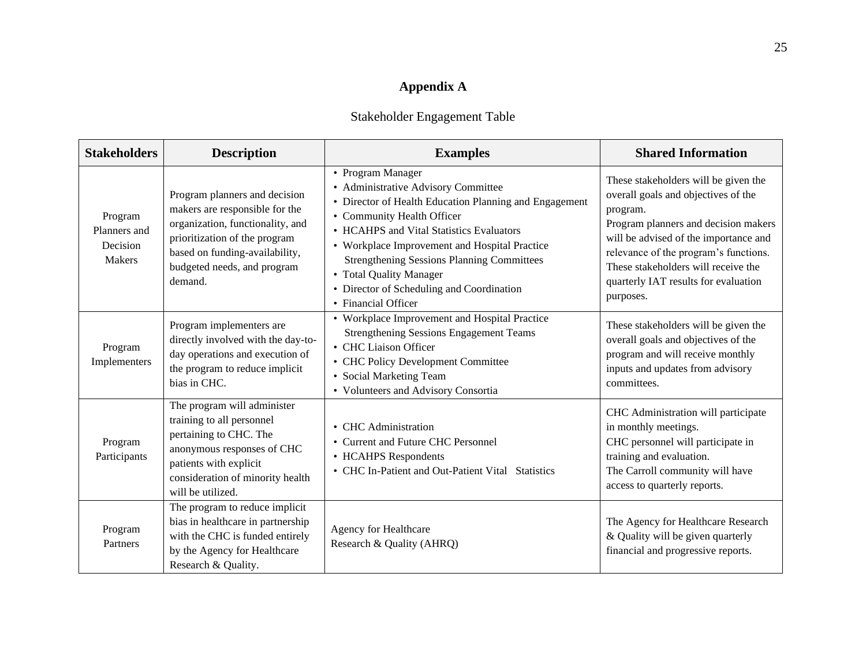# **Appendix A**

# Stakeholder Engagement Table

| <b>Stakeholders</b>                           | <b>Description</b>                                                                                                                                                                                               | <b>Examples</b>                                                                                                                                                                                                                                                                                                                                                                                   | <b>Shared Information</b>                                                                                                                                                                                                                                                                                     |  |  |  |  |
|-----------------------------------------------|------------------------------------------------------------------------------------------------------------------------------------------------------------------------------------------------------------------|---------------------------------------------------------------------------------------------------------------------------------------------------------------------------------------------------------------------------------------------------------------------------------------------------------------------------------------------------------------------------------------------------|---------------------------------------------------------------------------------------------------------------------------------------------------------------------------------------------------------------------------------------------------------------------------------------------------------------|--|--|--|--|
| Program<br>Planners and<br>Decision<br>Makers | Program planners and decision<br>makers are responsible for the<br>organization, functionality, and<br>prioritization of the program<br>based on funding-availability,<br>budgeted needs, and program<br>demand. | • Program Manager<br>• Administrative Advisory Committee<br>• Director of Health Education Planning and Engagement<br>• Community Health Officer<br>• HCAHPS and Vital Statistics Evaluators<br>• Workplace Improvement and Hospital Practice<br><b>Strengthening Sessions Planning Committees</b><br>• Total Quality Manager<br>• Director of Scheduling and Coordination<br>• Financial Officer | These stakeholders will be given the<br>overall goals and objectives of the<br>program.<br>Program planners and decision makers<br>will be advised of the importance and<br>relevance of the program's functions.<br>These stakeholders will receive the<br>quarterly IAT results for evaluation<br>purposes. |  |  |  |  |
| Program<br>Implementers                       | Program implementers are<br>directly involved with the day-to-<br>day operations and execution of<br>the program to reduce implicit<br>bias in CHC.                                                              | • Workplace Improvement and Hospital Practice<br><b>Strengthening Sessions Engagement Teams</b><br>• CHC Liaison Officer<br>• CHC Policy Development Committee<br>• Social Marketing Team<br>• Volunteers and Advisory Consortia                                                                                                                                                                  | These stakeholders will be given the<br>overall goals and objectives of the<br>program and will receive monthly<br>inputs and updates from advisory<br>committees.                                                                                                                                            |  |  |  |  |
| Program<br>Participants                       | The program will administer<br>training to all personnel<br>pertaining to CHC. The<br>anonymous responses of CHC<br>patients with explicit<br>consideration of minority health<br>will be utilized.              | • CHC Administration<br>• Current and Future CHC Personnel<br>• HCAHPS Respondents<br>• CHC In-Patient and Out-Patient Vital Statistics                                                                                                                                                                                                                                                           | CHC Administration will participate<br>in monthly meetings.<br>CHC personnel will participate in<br>training and evaluation.<br>The Carroll community will have<br>access to quarterly reports.                                                                                                               |  |  |  |  |
| Program<br>Partners                           | The program to reduce implicit<br>bias in healthcare in partnership<br>with the CHC is funded entirely<br>by the Agency for Healthcare<br>Research & Quality.                                                    | Agency for Healthcare<br>Research & Quality (AHRQ)                                                                                                                                                                                                                                                                                                                                                | The Agency for Healthcare Research<br>& Quality will be given quarterly<br>financial and progressive reports.                                                                                                                                                                                                 |  |  |  |  |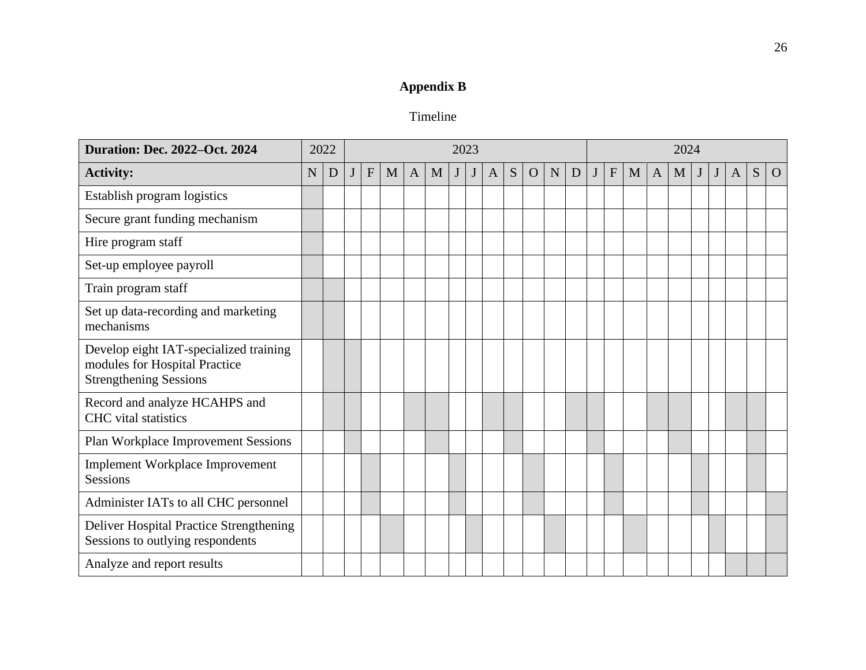# **Appendix B**

# Timeline

| <b>Duration: Dec. 2022-Oct. 2024</b>                                                                     |   | 2022 |   |              |   |              |   |          | 2023 |              |   |          |   |   |   | 2024         |   |              |   |   |   |              |   |          |
|----------------------------------------------------------------------------------------------------------|---|------|---|--------------|---|--------------|---|----------|------|--------------|---|----------|---|---|---|--------------|---|--------------|---|---|---|--------------|---|----------|
| <b>Activity:</b>                                                                                         | N | D    | J | $\mathbf{F}$ | M | $\mathbf{A}$ | M | $J \mid$ | J    | $\mathbf{A}$ | S | $\Omega$ | N | D | J | $\mathbf{F}$ | M | $\mathbf{A}$ | M | J | J | $\mathbf{A}$ | S | $\Omega$ |
| Establish program logistics                                                                              |   |      |   |              |   |              |   |          |      |              |   |          |   |   |   |              |   |              |   |   |   |              |   |          |
| Secure grant funding mechanism                                                                           |   |      |   |              |   |              |   |          |      |              |   |          |   |   |   |              |   |              |   |   |   |              |   |          |
| Hire program staff                                                                                       |   |      |   |              |   |              |   |          |      |              |   |          |   |   |   |              |   |              |   |   |   |              |   |          |
| Set-up employee payroll                                                                                  |   |      |   |              |   |              |   |          |      |              |   |          |   |   |   |              |   |              |   |   |   |              |   |          |
| Train program staff                                                                                      |   |      |   |              |   |              |   |          |      |              |   |          |   |   |   |              |   |              |   |   |   |              |   |          |
| Set up data-recording and marketing<br>mechanisms                                                        |   |      |   |              |   |              |   |          |      |              |   |          |   |   |   |              |   |              |   |   |   |              |   |          |
| Develop eight IAT-specialized training<br>modules for Hospital Practice<br><b>Strengthening Sessions</b> |   |      |   |              |   |              |   |          |      |              |   |          |   |   |   |              |   |              |   |   |   |              |   |          |
| Record and analyze HCAHPS and<br>CHC vital statistics                                                    |   |      |   |              |   |              |   |          |      |              |   |          |   |   |   |              |   |              |   |   |   |              |   |          |
| Plan Workplace Improvement Sessions                                                                      |   |      |   |              |   |              |   |          |      |              |   |          |   |   |   |              |   |              |   |   |   |              |   |          |
| Implement Workplace Improvement<br><b>Sessions</b>                                                       |   |      |   |              |   |              |   |          |      |              |   |          |   |   |   |              |   |              |   |   |   |              |   |          |
| Administer IATs to all CHC personnel                                                                     |   |      |   |              |   |              |   |          |      |              |   |          |   |   |   |              |   |              |   |   |   |              |   |          |
| Deliver Hospital Practice Strengthening<br>Sessions to outlying respondents                              |   |      |   |              |   |              |   |          |      |              |   |          |   |   |   |              |   |              |   |   |   |              |   |          |
| Analyze and report results                                                                               |   |      |   |              |   |              |   |          |      |              |   |          |   |   |   |              |   |              |   |   |   |              |   |          |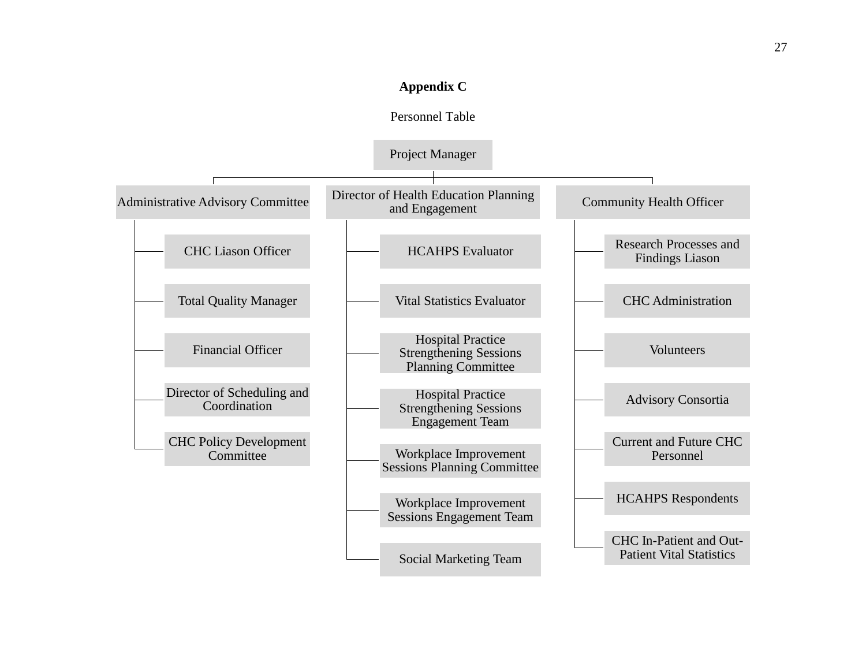## **Appendix C**

## Personnel Table

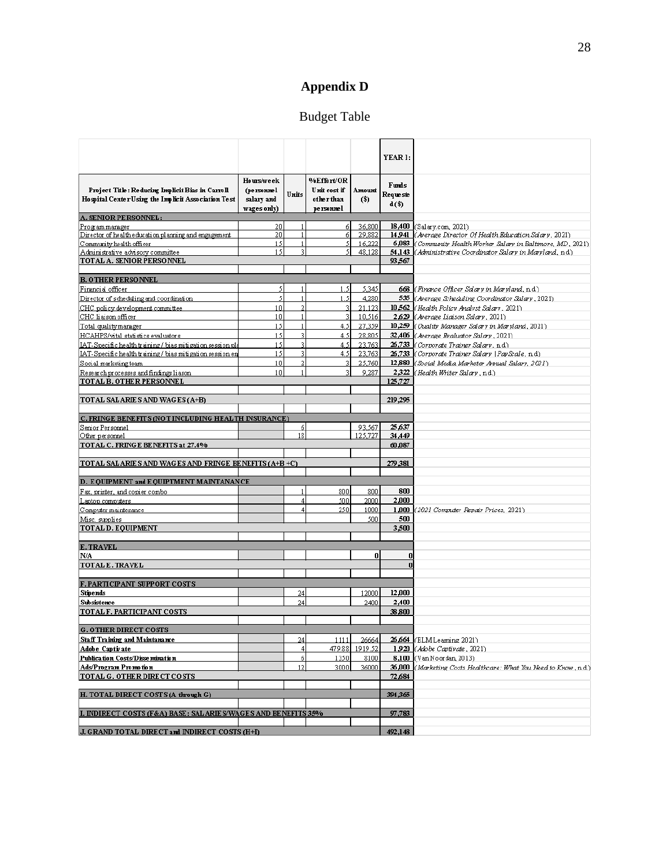# **Appendix D**

# Budget Table

|                                                                                                         |                                                       |                         |                                                       |                  | YEAR 1:                   |                                                              |
|---------------------------------------------------------------------------------------------------------|-------------------------------------------------------|-------------------------|-------------------------------------------------------|------------------|---------------------------|--------------------------------------------------------------|
|                                                                                                         |                                                       |                         |                                                       |                  |                           |                                                              |
| Project Title: Reducing Implicit Bias in Carroll<br>Hospital Center Using the Implicit Association Test | Hours/week<br>(personnel<br>salary and<br>wages only) | Units                   | %Effort/OR<br>Unit cost if<br>other than<br>personnel | Amount<br>(3)    | Funds<br>Requeste<br>d(3) |                                                              |
| <b>A. SENIOR PERSONNEL:</b>                                                                             |                                                       |                         |                                                       |                  |                           |                                                              |
| Program manager                                                                                         | 20                                                    | $\mathbf{1}$            |                                                       | 36,800           |                           | 18,400 $(Sa1axy.com, 2021)$                                  |
| Director of health education planning and engagement                                                    | 20                                                    | $\mathbf{1}$            | 6                                                     | 29,882           |                           | 14.941 (Average Director Of Health Education Salary, 2021)   |
| Community health officer<br>Administrative advisory committee                                           | 15<br>15                                              | $\mathbf{1}$<br>3       |                                                       | 16,222<br>48,128 |                           | 6,083 Community Health Worker Salary in Baltimore, MD, 2021) |
| TOTAL A. SENIOR PERSONNEL                                                                               |                                                       |                         |                                                       |                  | 93,567                    | 54,143 (Administrative Coordinator Salary in Maryland, n d)  |
|                                                                                                         |                                                       |                         |                                                       |                  |                           |                                                              |
| <b>B. OTHER PERSONNEL</b>                                                                               |                                                       |                         |                                                       |                  |                           |                                                              |
| Financial officer                                                                                       | 5                                                     | $\mathbf{1}$            | 1.5                                                   | 5,345            |                           | 668 (Finance Officer Salary in Maryland, n.d.)               |
| Director of scheduling and coordination                                                                 | 51                                                    | $\mathbf{1}$            | 1.5                                                   | 4,280            | 535                       | (Average Scheduling Coordinator Salary, 2021)                |
| CHC policy development committee                                                                        | 10                                                    | $\overline{2}$          |                                                       | 21.123           |                           | 10,562   Health Policy Analyst Salary . 2021)                |
| CHC liaison officer                                                                                     | 10 <sup>1</sup>                                       | $\mathbf{1}$            | 3                                                     | 10,516           |                           | 2,629 (Average Liaison Salary, 2021)                         |
| Total quality manager                                                                                   | 15 <sup>1</sup>                                       | $\mathbf{1}$            | 4.5                                                   | 27.359           |                           | 10,259 (Quality Manager Salary in Maryland, 2021)            |
| HCAHPS/vital statistics evaluators                                                                      | 15                                                    | $\overline{3}$          | 4.5                                                   | 28,805           |                           | 32,406 (Average Evaluator Salary, 2021)                      |
| IAT-Specific health training / bias mitigation session pl                                               | 15                                                    | $\overline{\mathbf{3}}$ | 4.5                                                   | 23.763           |                           | 26,733 Corporate Trainer Salarv. nd)                         |
| IAT-Specific health training/bias mitigation session en                                                 | 15                                                    | $\overline{3}$          | 4.5                                                   | 23,763           |                           | 26,733 (Corporate Trainer Salary   PayScale, n.d.)           |
| Social marketing team                                                                                   | 10 <sup>1</sup>                                       | $\overline{a}$          | ٩                                                     | 25,760           |                           | 12,880 (Social Media Marketer Annual Salary, 2021)           |
| Research processes and findings liason                                                                  | 10 <sup>1</sup>                                       | $\mathbf{1}$            | 3                                                     | 9,287            |                           | 2,322 (Health Writer Salary, nd.)                            |
| TOTAL B. OTHER PERSONNEL                                                                                |                                                       |                         |                                                       |                  | 125,727                   |                                                              |
|                                                                                                         |                                                       |                         |                                                       |                  |                           |                                                              |
| TOTAL SALARIES AND WAGES (A+B)                                                                          |                                                       |                         |                                                       |                  | 219.295                   |                                                              |
|                                                                                                         |                                                       |                         |                                                       |                  |                           |                                                              |
| C. FRINGE BENEFITS (NOT INCLUDING HEAL TH INSURANCE)                                                    |                                                       |                         |                                                       |                  |                           |                                                              |
| Senior Personnel                                                                                        |                                                       | 6                       |                                                       | 93,567           | 25,637                    |                                                              |
| Other personnel                                                                                         |                                                       | 18                      |                                                       | 125,727          | 34.449                    |                                                              |
| TOTAL C. FRINGE BENEFITS at 27.4%                                                                       |                                                       |                         |                                                       |                  | 60.087                    |                                                              |
| TOTAL SALARIES AND WAGES AND FRINGE BENEFITS (A+B+C)                                                    |                                                       |                         |                                                       |                  | 279,381                   |                                                              |
|                                                                                                         |                                                       |                         |                                                       |                  |                           |                                                              |
| D. EQUIPMENT and EQUIPTMENT MAINTANANCE                                                                 |                                                       |                         |                                                       |                  |                           |                                                              |
| Fax, printer, and copier combo                                                                          |                                                       | $\mathbf{1}$            | 800                                                   | 800              | 800                       |                                                              |
| Lanton computers                                                                                        |                                                       | Δ                       | 500                                                   | 2000             | 2.000                     |                                                              |
| Computer maintenance                                                                                    |                                                       | 4                       | 250                                                   | 1000             | 1.000                     | (2021 Computer Repair Prices, 2021)                          |
| Misc. supplies                                                                                          |                                                       |                         |                                                       | 500              | 500                       |                                                              |
| TOTAL D. EQUIPMENT                                                                                      |                                                       |                         |                                                       |                  | 3,500                     |                                                              |
| <b>E. TRAVEL</b>                                                                                        |                                                       |                         |                                                       |                  |                           |                                                              |
| N/A                                                                                                     |                                                       |                         |                                                       | $\bf{0}$         | 0                         |                                                              |
| TOTAL E. TRAVEL                                                                                         |                                                       |                         |                                                       |                  | $\mathbf{0}$              |                                                              |
|                                                                                                         |                                                       |                         |                                                       |                  |                           |                                                              |
| <b>F. PARTICIPANT SUPPORT COSTS</b>                                                                     |                                                       |                         |                                                       |                  |                           |                                                              |
| <b>Stipends</b>                                                                                         |                                                       | 24                      |                                                       | 12000            | 12,000                    |                                                              |
| <b>Subsistence</b>                                                                                      |                                                       | 24                      |                                                       | 2400             | 2,400                     |                                                              |
| TOTAL F. PARTICIPANT COSTS                                                                              |                                                       |                         |                                                       |                  | 38,800                    |                                                              |
|                                                                                                         |                                                       |                         |                                                       |                  |                           |                                                              |
| <b>G. OTHER DIRECT COSTS</b>                                                                            |                                                       |                         |                                                       |                  |                           |                                                              |
| Staff Training and Maintanance                                                                          |                                                       | 24                      | 1111                                                  | 26664            |                           | 26,664 FELM Learning 2021)                                   |
| Adobe Captivate                                                                                         |                                                       | 4                       | 479.88                                                | 1919.52          |                           | $1.920$ (Adobe Captivate, 2021)                              |
| Publication Costs/Disse mination                                                                        |                                                       | <u>6</u>                | <u>1350</u>                                           | 8100             |                           | <b>8,100</b> (Van Noordan, 2013)                             |
| Ads/Program Promotion                                                                                   |                                                       | 12                      | 3000                                                  | 36000            | 36,000                    | (Marketing Costs Healthcare: What You Need to Know, n.d.)    |
| TOTAL G. OTHER DIRECT COSTS                                                                             |                                                       |                         |                                                       |                  | 72,684                    |                                                              |
| H. TOTAL DIRECT COSTS (A through G)                                                                     |                                                       |                         |                                                       |                  | 394,365                   |                                                              |
| I. INDIRECT COSTS (F&A) BASE: SALARIE S/WAGES AND BENEFITS 35%                                          |                                                       |                         |                                                       |                  | 97,783                    |                                                              |
| J. GRAND TOTAL DIRECT and INDIRECT COSTS (H+I)                                                          |                                                       |                         |                                                       |                  | 492.148                   |                                                              |